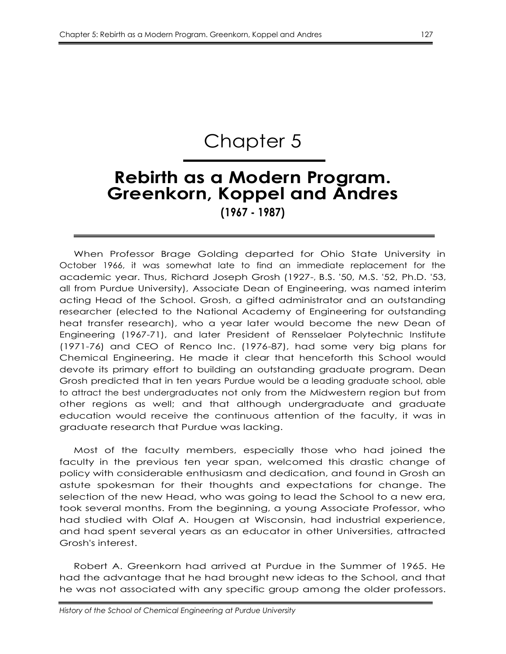# Chapter 5

## **Rebirth as a Modern Program. Greenkorn, Koppel and Andres**

**(1967 - 1987)**

When Professor Brage Golding departed for Ohio State University in October 1966, it was somewhat late to find an immediate replacement for the academic year. Thus, Richard Joseph Grosh (1927-, B.S. '50, M.S. '52, Ph.D. '53, all from Purdue University), Associate Dean of Engineering, was named interim acting Head of the School. Grosh, a gifted administrator and an outstanding researcher (elected to the National Academy of Engineering for outstanding heat transfer research), who a year later would become the new Dean of Engineering (1967-71), and later President of Rensselaer Polytechnic Institute (1971-76) and CEO of Renco Inc. (1976-87), had some very big plans for Chemical Engineering. He made it clear that henceforth this School would devote its primary effort to building an outstanding graduate program. Dean Grosh predicted that in ten years Purdue would be a leading graduate school, able to attract the best undergraduates not only from the Midwestern region but from other regions as well; and that although undergraduate and graduate education would receive the continuous attention of the faculty, it was in graduate research that Purdue was lacking.

Most of the faculty members, especially those who had joined the faculty in the previous ten year span, welcomed this drastic change of policy with considerable enthusiasm and dedication, and found in Grosh an astute spokesman for their thoughts and expectations for change. The selection of the new Head, who was going to lead the School to a new era, took several months. From the beginning, a young Associate Professor, who had studied with Olaf A. Hougen at Wisconsin, had industrial experience, and had spent several years as an educator in other Universities, attracted Grosh's interest.

Robert A. Greenkorn had arrived at Purdue in the Summer of 1965. He had the advantage that he had brought new ideas to the School, and that he was not associated with any specific group among the older professors.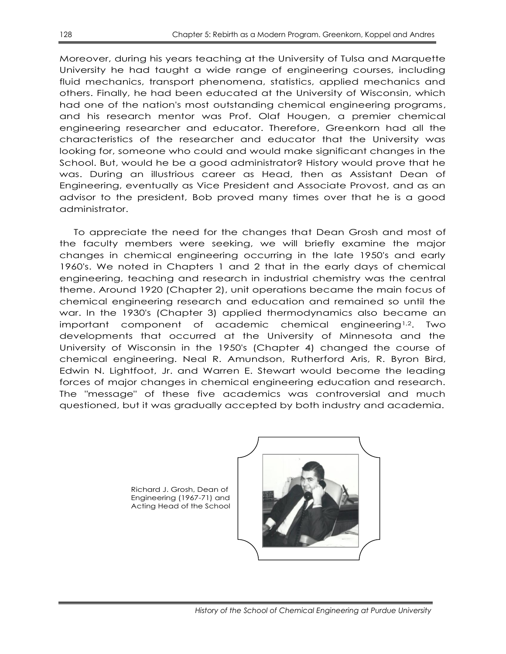Moreover, during his years teaching at the University of Tulsa and Marquette University he had taught a wide range of engineering courses, including fluid mechanics, transport phenomena, statistics, applied mechanics and others. Finally, he had been educated at the University of Wisconsin, which had one of the nation's most outstanding chemical engineering programs, and his research mentor was Prof. Olaf Hougen, a premier chemical engineering researcher and educator. Therefore, Greenkorn had all the characteristics of the researcher and educator that the University was looking for, someone who could and would make significant changes in the School. But, would he be a good administrator? History would prove that he was. During an illustrious career as Head, then as Assistant Dean of Engineering, eventually as Vice President and Associate Provost, and as an advisor to the president, Bob proved many times over that he is a good administrator.

To appreciate the need for the changes that Dean Grosh and most of the faculty members were seeking, we will briefly examine the major changes in chemical engineering occurring in the late 1950's and early 1960's. We noted in Chapters 1 and 2 that in the early days of chemical engineering, teaching and research in industrial chemistry was the central theme. Around 1920 (Chapter 2), unit operations became the main focus of chemical engineering research and education and remained so until the war. In the 1930's (Chapter 3) applied thermodynamics also became an important component of academic chemical engineering<sup>1,2</sup>. Two developments that occurred at the University of Minnesota and the University of Wisconsin in the 1950's (Chapter 4) changed the course of chemical engineering. Neal R. Amundson, Rutherford Aris, R. Byron Bird, Edwin N. Lightfoot, Jr. and Warren E. Stewart would become the leading forces of major changes in chemical engineering education and research. The "message" of these five academics was controversial and much questioned, but it was gradually accepted by both industry and academia.

> Richard J. Grosh, Dean of Engineering (1967-71) and Acting Head of the School

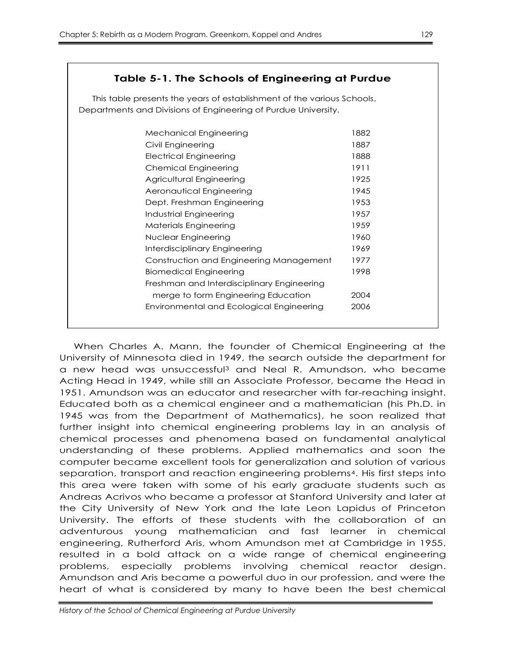## **Table 5-1. The Schools of Engineering at Purdue**

This table presents the years of establishment of the various Schools, Departments and Divisions of Engineering of Purdue University.

| Mechanical Engineering                     | 1882 |
|--------------------------------------------|------|
| Civil Engineering                          | 1887 |
| Electrical Engineering                     | 1888 |
| <b>Chemical Engineering</b>                | 1911 |
| Agricultural Engineering                   | 1925 |
| Aeronautical Engineering                   | 1945 |
| Dept. Freshman Engineering                 | 1953 |
| Industrial Engineering                     | 1957 |
| Materials Engineering                      | 1959 |
| Nuclear Engineering                        | 1960 |
| Interdisciplinary Engineering              | 1969 |
| Construction and Engineering Management    | 1977 |
| Biomedical Engineering                     | 1998 |
| Freshman and Interdisciplinary Engineering |      |
| merge to form Engineering Education        | 2004 |
| Environmental and Ecological Engineering   | 2006 |
|                                            |      |
|                                            |      |

When Charles A. Mann, the founder of Chemical Engineering at the University of Minnesota died in 1949, the search outside the department for a new head was unsuccessful<sup>3</sup> and Neal R. Amundson, who became Acting Head in 1949, while still an Associate Professor, became the Head in 1951. Amundson was an educator and researcher with far-reaching insight. Educated both as a chemical engineer and a mathematician (his Ph.D. in 1945 was from the Department of Mathematics), he soon realized that further insight into chemical engineering problems lay in an analysis of chemical processes and phenomena based on fundamental analytical understanding of these problems. Applied mathematics and soon the computer became excellent tools for generalization and solution of various separation, transport and reaction engineering problems4. His first steps into this area were taken with some of his early graduate students such as Andreas Acrivos who became a professor at Stanford University and later at the City University of New York and the late Leon Lapidus of Princeton University. The efforts of these students with the collaboration of an adventurous young mathematician and fast learner in chemical engineering, Rutherford Aris, whom Amundson met at Cambridge in 1955, resulted in a bold attack on a wide range of chemical engineering problems, especially problems involving chemical reactor design. Amundson and Aris became a powerful duo in our profession, and were the heart of what is considered by many to have been the best chemical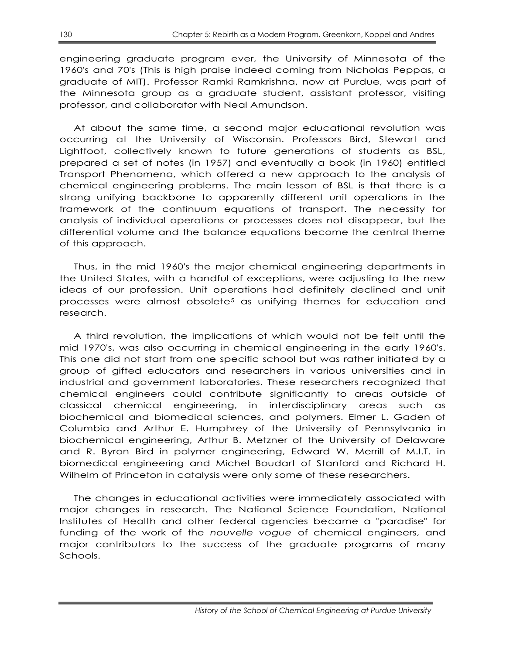engineering graduate program ever, the University of Minnesota of the 1960's and 70's (This is high praise indeed coming from Nicholas Peppas, a graduate of MIT). Professor Ramki Ramkrishna, now at Purdue, was part of the Minnesota group as a graduate student, assistant professor, visiting professor, and collaborator with Neal Amundson.

At about the same time, a second major educational revolution was occurring at the University of Wisconsin. Professors Bird, Stewart and Lightfoot, collectively known to future generations of students as BSL, prepared a set of notes (in 1957) and eventually a book (in 1960) entitled Transport Phenomena, which offered a new approach to the analysis of chemical engineering problems. The main lesson of BSL is that there is a strong unifying backbone to apparently different unit operations in the framework of the continuum equations of transport. The necessity for analysis of individual operations or processes does not disappear, but the differential volume and the balance equations become the central theme of this approach.

Thus, in the mid 1960's the major chemical engineering departments in the United States, with a handful of exceptions, were adjusting to the new ideas of our profession. Unit operations had definitely declined and unit processes were almost obsolete<sup>5</sup> as unifying themes for education and research.

A third revolution, the implications of which would not be felt until the mid 1970's, was also occurring in chemical engineering in the early 1960's. This one did not start from one specific school but was rather initiated by a group of gifted educators and researchers in various universities and in industrial and government laboratories. These researchers recognized that chemical engineers could contribute significantly to areas outside of classical chemical engineering, in interdisciplinary areas such as biochemical and biomedical sciences, and polymers. Elmer L. Gaden of Columbia and Arthur E. Humphrey of the University of Pennsylvania in biochemical engineering, Arthur B. Metzner of the University of Delaware and R. Byron Bird in polymer engineering, Edward W. Merrill of M.I.T. in biomedical engineering and Michel Boudart of Stanford and Richard H. Wilhelm of Princeton in catalysis were only some of these researchers.

The changes in educational activities were immediately associated with major changes in research. The National Science Foundation, National Institutes of Health and other federal agencies became a "paradise" for funding of the work of the *nouvelle vogue* of chemical engineers, and major contributors to the success of the graduate programs of many Schools.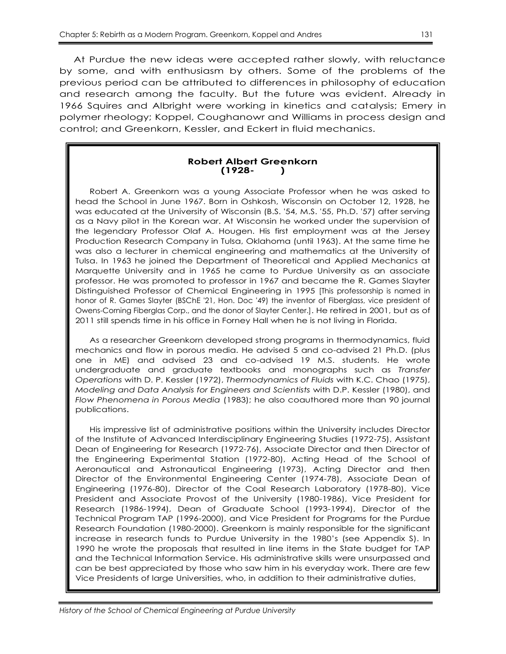At Purdue the new ideas were accepted rather slowly, with reluctance by some, and with enthusiasm by others. Some of the problems of the previous period can be attributed to differences in philosophy of education and research among the faculty. But the future was evident. Already in 1966 Squires and Albright were working in kinetics and catalysis; Emery in polymer rheology; Koppel, Coughanowr and Williams in process design and control; and Greenkorn, Kessler, and Eckert in fluid mechanics.

#### **Robert Albert Greenkorn (1928- )**

Robert A. Greenkorn was a young Associate Professor when he was asked to head the School in June 1967. Born in Oshkosh, Wisconsin on October 12, 1928, he was educated at the University of Wisconsin (B.S. '54, M.S. '55, Ph.D. '57) after serving as a Navy pilot in the Korean war. At Wisconsin he worked under the supervision of the legendary Professor Olaf A. Hougen. His first employment was at the Jersey Production Research Company in Tulsa, Oklahoma (until 1963). At the same time he was also a lecturer in chemical engineering and mathematics at the University of Tulsa. In 1963 he joined the Department of Theoretical and Applied Mechanics at Marquette University and in 1965 he came to Purdue University as an associate professor. He was promoted to professor in 1967 and became the R. Games Slayter Distinguished Professor of Chemical Engineering in 1995 [This professorship is named in honor of R. Games Slayter (BSChE '21, Hon. Doc '49) the inventor of Fiberglass, vice president of Owens-Corning Fiberglas Corp., and the donor of Slayter Center.]. He retired in 2001, but as of 2011 still spends time in his office in Forney Hall when he is not living in Florida.

As a researcher Greenkorn developed strong programs in thermodynamics, fluid mechanics and flow in porous media. He advised 5 and co-advised 21 Ph.D. (plus one in ME) and advised 23 and co-advised 19 M.S. students. He wrote undergraduate and graduate textbooks and monographs such as *Transfer Operations* with D. P. Kessler (1972), *Thermodynamics of Fluids* with K.C. Chao (1975), *Modeling and Data Analysis for Engineers and Scientists* with D.P. Kessler (1980), and *Flow Phenomena in Porous Media* (1983); he also coauthored more than 90 journal publications.

His impressive list of administrative positions within the University includes Director of the Institute of Advanced Interdisciplinary Engineering Studies (1972-75), Assistant Dean of Engineering for Research (1972-76), Associate Director and then Director of the Engineering Experimental Station (1972-80), Acting Head of the School of Aeronautical and Astronautical Engineering (1973), Acting Director and then Director of the Environmental Engineering Center (1974-78), Associate Dean of Engineering (1976-80), Director of the Coal Research Laboratory (1978-80), Vice President and Associate Provost of the University (1980-1986), Vice President for Research (1986-1994), Dean of Graduate School (1993-1994), Director of the Technical Program TAP (1996-2000), and Vice President for Programs for the Purdue Research Foundation (1980-2000). Greenkorn is mainly responsible for the significant increase in research funds to Purdue University in the 1980's (see Appendix S). In 1990 he wrote the proposals that resulted in line items in the State budget for TAP and the Technical Information Service. His administrative skills were unsurpassed and can be best appreciated by those who saw him in his everyday work. There are few Vice Presidents of large Universities, who, in addition to their administrative duties,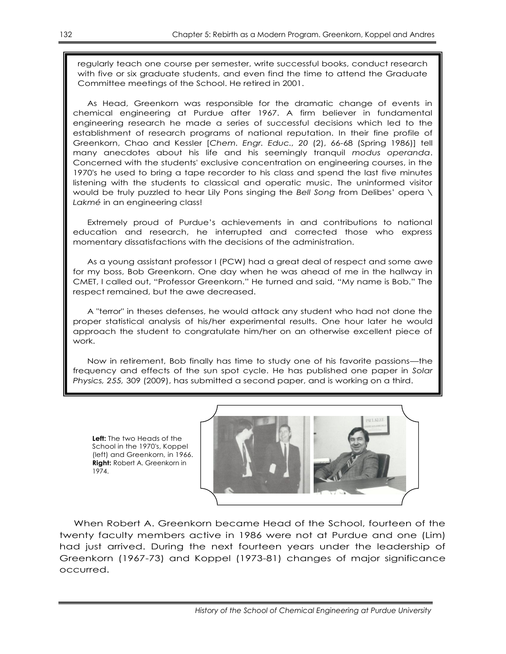regularly teach one course per semester, write successful books, conduct research with five or six graduate students, and even find the time to attend the Graduate Committee meetings of the School. He retired in 2001.

As Head, Greenkorn was responsible for the dramatic change of events in chemical engineering at Purdue after 1967. A firm believer in fundamental engineering research he made a series of successful decisions which led to the establishment of research programs of national reputation. In their fine profile of Greenkorn, Chao and Kessler [*Chem. Engr. Educ., 20* (2), 66-68 (Spring 1986)] tell many anecdotes about his life and his seemingly tranquil *modus operanda*. Concerned with the students' exclusive concentration on engineering courses, in the 1970's he used to bring a tape recorder to his class and spend the last five minutes listening with the students to classical and operatic music. The uninformed visitor would be truly puzzled to hear Lily Pons singing the *Bell Song* from Delibes' opera \ *Lakmé* in an engineering class!

Extremely proud of Purdue's achievements in and contributions to national education and research, he interrupted and corrected those who express momentary dissatisfactions with the decisions of the administration.

As a young assistant professor I (PCW) had a great deal of respect and some awe for my boss, Bob Greenkorn. One day when he was ahead of me in the hallway in CMET, I called out, "Professor Greenkorn." He turned and said, "My name is Bob." The respect remained, but the awe decreased.

A "terror" in theses defenses, he would attack any student who had not done the proper statistical analysis of his/her experimental results. One hour later he would approach the student to congratulate him/her on an otherwise excellent piece of work.

Now in retirement, Bob finally has time to study one of his favorite passions—the frequency and effects of the sun spot cycle. He has published one paper in *Solar Physics, 255,* 309 (2009), has submitted a second paper, and is working on a third.

**Left:** The two Heads of the School in the 1970's, Koppel (left) and Greenkorn, in 1966. **Right:** Robert A. Greenkorn in 1974.



When Robert A. Greenkorn became Head of the School, fourteen of the twenty faculty members active in 1986 were not at Purdue and one (Lim) had just arrived. During the next fourteen years under the leadership of Greenkorn (1967-73) and Koppel (1973-81) changes of major significance occurred.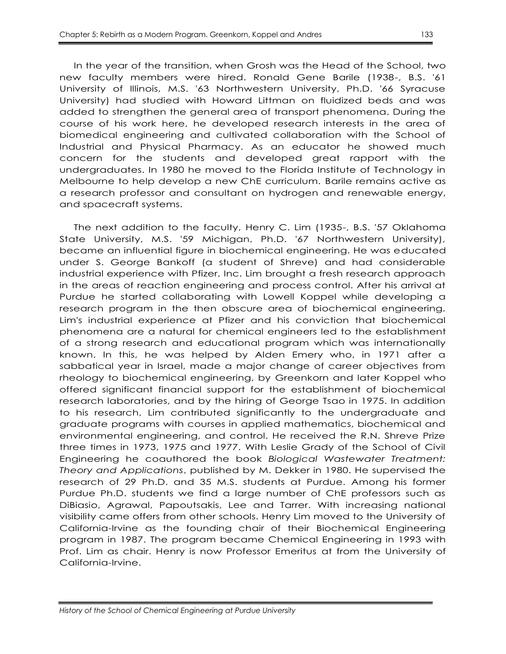In the year of the transition, when Grosh was the Head of the School, two new faculty members were hired. Ronald Gene Barile (1938-, B.S. '61 University of Illinois, M.S. '63 Northwestern University, Ph.D. '66 Syracuse University) had studied with Howard Littman on fluidized beds and was added to strengthen the general area of transport phenomena. During the course of his work here, he developed research interests in the area of biomedical engineering and cultivated collaboration with the School of Industrial and Physical Pharmacy. As an educator he showed much concern for the students and developed great rapport with the undergraduates. In 1980 he moved to the Florida Institute of Technology in Melbourne to help develop a new ChE curriculum. Barile remains active as a research professor and consultant on hydrogen and renewable energy, and spacecraft systems.

The next addition to the faculty, Henry C. Lim (1935-, B.S. '57 Oklahoma State University, M.S. '59 Michigan, Ph.D. '67 Northwestern University), became an influential figure in biochemical engineering. He was educated under S. George Bankoff (a student of Shreve) and had considerable industrial experience with Pfizer, Inc. Lim brought a fresh research approach in the areas of reaction engineering and process control. After his arrival at Purdue he started collaborating with Lowell Koppel while developing a research program in the then obscure area of biochemical engineering. Lim's industrial experience at Pfizer and his conviction that biochemical phenomena are a natural for chemical engineers led to the establishment of a strong research and educational program which was internationally known. In this, he was helped by Alden Emery who, in 1971 after a sabbatical year in Israel, made a major change of career objectives from rheology to biochemical engineering, by Greenkorn and later Koppel who offered significant financial support for the establishment of biochemical research laboratories, and by the hiring of George Tsao in 1975. In addition to his research, Lim contributed significantly to the undergraduate and graduate programs with courses in applied mathematics, biochemical and environmental engineering, and control. He received the R.N. Shreve Prize three times in 1973, 1975 and 1977. With Leslie Grady of the School of Civil Engineering he coauthored the book *Biological Wastewater Treatment: Theory and Applications*, published by M. Dekker in 1980. He supervised the research of 29 Ph.D. and 35 M.S. students at Purdue. Among his former Purdue Ph.D. students we find a large number of ChE professors such as DiBiasio, Agrawal, Papoutsakis, Lee and Tarrer. With increasing national visibility came offers from other schools. Henry Lim moved to the University of California-Irvine as the founding chair of their Biochemical Engineering program in 1987. The program became Chemical Engineering in 1993 with Prof. Lim as chair. Henry is now Professor Emeritus at from the University of California-Irvine.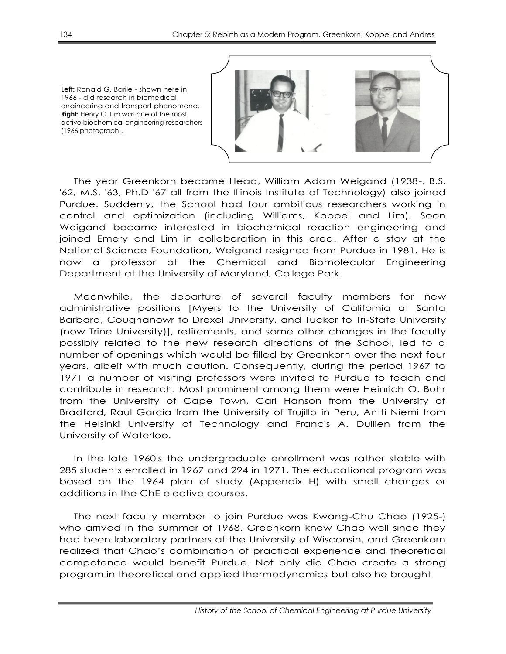

**Left:** Ronald G. Barile - shown here in 1966 - did research in biomedical engineering and transport phenomena. **Right:** Henry C. Lim was one of the most active biochemical engineering researchers (1966 photograph).

The year Greenkorn became Head, William Adam Weigand (1938-, B.S. '62, M.S. '63, Ph.D '67 all from the Illinois Institute of Technology) also joined Purdue. Suddenly, the School had four ambitious researchers working in control and optimization (including Williams, Koppel and Lim). Soon Weigand became interested in biochemical reaction engineering and joined Emery and Lim in collaboration in this area. After a stay at the National Science Foundation, Weigand resigned from Purdue in 1981. He is now a professor at the Chemical and Biomolecular Engineering Department at the University of Maryland, College Park.

Meanwhile, the departure of several faculty members for new administrative positions [Myers to the University of California at Santa Barbara, Coughanowr to Drexel University, and Tucker to Tri-State University (now Trine University)], retirements, and some other changes in the faculty possibly related to the new research directions of the School, led to a number of openings which would be filled by Greenkorn over the next four years, albeit with much caution. Consequently, during the period 1967 to 1971 a number of visiting professors were invited to Purdue to teach and contribute in research. Most prominent among them were Heinrich O. Buhr from the University of Cape Town, Carl Hanson from the University of Bradford, Raul Garcia from the University of Trujillo in Peru, Antti Niemi from the Helsinki University of Technology and Francis A. Dullien from the University of Waterloo.

In the late 1960's the undergraduate enrollment was rather stable with 285 students enrolled in 1967 and 294 in 1971. The educational program was based on the 1964 plan of study (Appendix H) with small changes or additions in the ChE elective courses.

The next faculty member to join Purdue was Kwang-Chu Chao (1925-) who arrived in the summer of 1968. Greenkorn knew Chao well since they had been laboratory partners at the University of Wisconsin, and Greenkorn realized that Chao's combination of practical experience and theoretical competence would benefit Purdue. Not only did Chao create a strong program in theoretical and applied thermodynamics but also he brought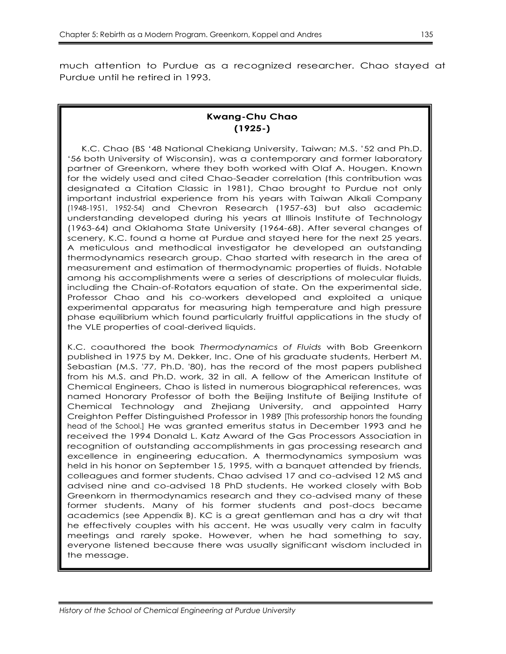much attention to Purdue as a recognized researcher. Chao stayed at Purdue until he retired in 1993.

## **Kwang-Chu Chao (1925-)**

K.C. Chao (BS ‗48 National Chekiang University, Taiwan; M.S. '52 and Ph.D. ‗56 both University of Wisconsin), was a contemporary and former laboratory partner of Greenkorn, where they both worked with Olaf A. Hougen. Known for the widely used and cited Chao-Seader correlation (this contribution was designated a Citation Classic in 1981), Chao brought to Purdue not only important industrial experience from his years with Taiwan Alkali Company (1948-1951, 1952-54) and Chevron Research (1957-63) but also academic understanding developed during his years at Illinois Institute of Technology (1963-64) and Oklahoma State University (1964-68). After several changes of scenery, K.C. found a home at Purdue and stayed here for the next 25 years. A meticulous and methodical investigator he developed an outstanding thermodynamics research group. Chao started with research in the area of measurement and estimation of thermodynamic properties of fluids. Notable among his accomplishments were a series of descriptions of molecular fluids, including the Chain-of-Rotators equation of state. On the experimental side, Professor Chao and his co-workers developed and exploited a unique experimental apparatus for measuring high temperature and high pressure phase equilibrium which found particularly fruitful applications in the study of the VLE properties of coal-derived liquids.

K.C. coauthored the book *Thermodynamics of Fluids* with Bob Greenkorn published in 1975 by M. Dekker, Inc. One of his graduate students, Herbert M. Sebastian (M.S. '77, Ph.D. '80), has the record of the most papers published from his M.S. and Ph.D. work, 32 in all. A fellow of the American Institute of Chemical Engineers, Chao is listed in numerous biographical references, was named Honorary Professor of both the Beijing Institute of Beijing Institute of Chemical Technology and Zhejiang University, and appointed Harry Creighton Peffer Distinguished Professor in 1989 [This professorship honors the founding head of the School.] He was granted emeritus status in December 1993 and he received the 1994 Donald L. Katz Award of the Gas Processors Association in recognition of outstanding accomplishments in gas processing research and excellence in engineering education. A thermodynamics symposium was held in his honor on September 15, 1995, with a banquet attended by friends, colleagues and former students. Chao advised 17 and co-advised 12 MS and advised nine and co-advised 18 PhD students. He worked closely with Bob Greenkorn in thermodynamics research and they co-advised many of these former students. Many of his former students and post-docs became academics (see Appendix B). KC is a great gentleman and has a dry wit that he effectively couples with his accent. He was usually very calm in faculty meetings and rarely spoke. However, when he had something to say, everyone listened because there was usually significant wisdom included in the message.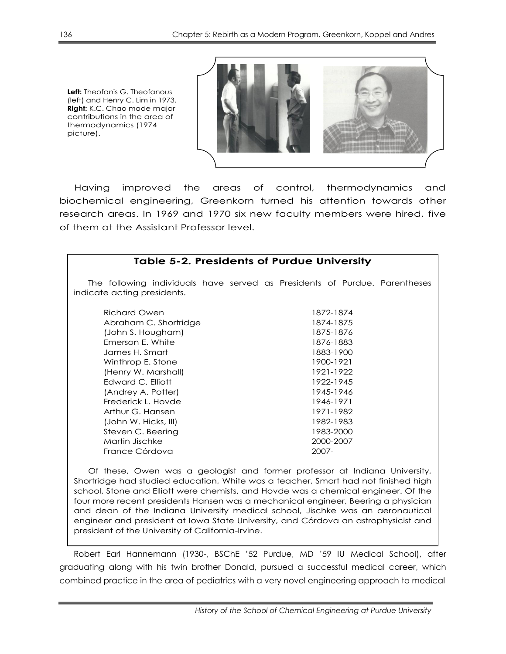**Left:** Theofanis G. Theofanous (left) and Henry C. Lim in 1973. **Right:** K.C. Chao made major contributions in the area of thermodynamics (1974 picture).



Having improved the areas of control, thermodynamics and biochemical engineering, Greenkorn turned his attention towards other research areas. In 1969 and 1970 six new faculty members were hired, five of them at the Assistant Professor level.

| <b>Table 5-2. Presidents of Purdue University</b>                                                         |           |  |  |
|-----------------------------------------------------------------------------------------------------------|-----------|--|--|
| The following individuals have served as Presidents of Purdue. Parentheses<br>indicate acting presidents. |           |  |  |
| <b>Richard Owen</b>                                                                                       | 1872-1874 |  |  |
| Abraham C. Shortridge                                                                                     | 1874-1875 |  |  |
| (John S. Hougham)                                                                                         | 1875-1876 |  |  |
| Emerson E. White                                                                                          | 1876-1883 |  |  |
| James H. Smart                                                                                            | 1883-1900 |  |  |
| Winthrop E. Stone                                                                                         | 1900-1921 |  |  |
| (Henry W. Marshall)                                                                                       | 1921-1922 |  |  |
| Edward C. Elliott                                                                                         | 1922-1945 |  |  |
| (Andrey A. Potter)                                                                                        | 1945-1946 |  |  |
| Frederick L. Hovde                                                                                        | 1946-1971 |  |  |
| Arthur G. Hansen                                                                                          | 1971-1982 |  |  |
| (John W. Hicks, III)                                                                                      | 1982-1983 |  |  |
| Steven C. Beering                                                                                         | 1983-2000 |  |  |
| Martin Jischke                                                                                            | 2000-2007 |  |  |
| France Córdova                                                                                            | $2007 -$  |  |  |

Of these, Owen was a geologist and former professor at Indiana University, Shortridge had studied education, White was a teacher, Smart had not finished high school, Stone and Elliott were chemists, and Hovde was a chemical engineer. Of the four more recent presidents Hansen was a mechanical engineer, Beering a physician and dean of the Indiana University medical school, Jischke was an aeronautical engineer and president at Iowa State University, and Córdova an astrophysicist and president of the University of California-Irvine.

Robert Earl Hannemann (1930-, BSChE '52 Purdue, MD '59 IU Medical School), after graduating along with his twin brother Donald, pursued a successful medical career, which combined practice in the area of pediatrics with a very novel engineering approach to medical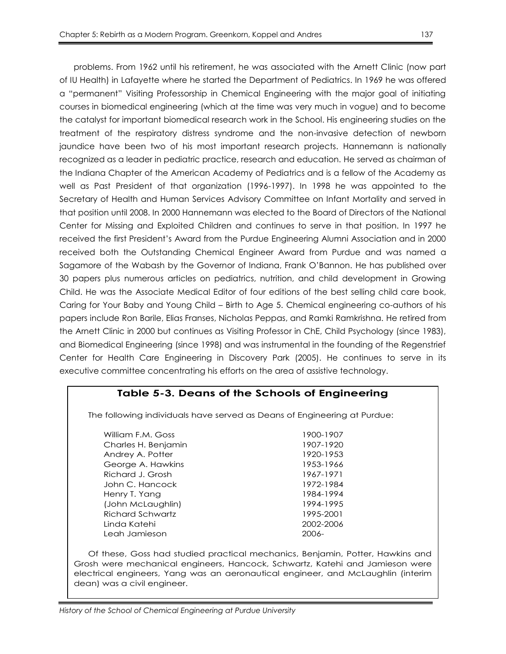problems. From 1962 until his retirement, he was associated with the Arnett Clinic (now part of IU Health) in Lafayette where he started the Department of Pediatrics. In 1969 he was offered a "permanent" Visiting Professorship in Chemical Engineering with the major goal of initiating courses in biomedical engineering (which at the time was very much in vogue) and to become the catalyst for important biomedical research work in the School. His engineering studies on the treatment of the respiratory distress syndrome and the non-invasive detection of newborn jaundice have been two of his most important research projects. Hannemann is nationally recognized as a leader in pediatric practice, research and education. He served as chairman of the Indiana Chapter of the American Academy of Pediatrics and is a fellow of the Academy as well as Past President of that organization (1996-1997). In 1998 he was appointed to the Secretary of Health and Human Services Advisory Committee on Infant Mortality and served in that position until 2008. In 2000 Hannemann was elected to the Board of Directors of the National Center for Missing and Exploited Children and continues to serve in that position. In 1997 he received the first President's Award from the Purdue Engineering Alumni Association and in 2000 received both the Outstanding Chemical Engineer Award from Purdue and was named a Sagamore of the Wabash by the Governor of Indiana, Frank O'Bannon. He has published over 30 papers plus numerous articles on pediatrics, nutrition, and child development in Growing Child. He was the Associate Medical Editor of four editions of the best selling child care book, Caring for Your Baby and Young Child – Birth to Age 5. Chemical engineering co-authors of his papers include Ron Barile, Elias Franses, Nicholas Peppas, and Ramki Ramkrishna. He retired from the Arnett Clinic in 2000 but continues as Visiting Professor in ChE, Child Psychology (since 1983), and Biomedical Engineering (since 1998) and was instrumental in the founding of the Regenstrief Center for Health Care Engineering in Discovery Park (2005). He continues to serve in its executive committee concentrating his efforts on the area of assistive technology.

## **Table 5-3. Deans of the Schools of Engineering**

The following individuals have served as Deans of Engineering at Purdue:

William F.M. Goss 1900-1907 Charles H. Benjamin 1907-1920 Andrey A. Potter 1920-1953 George A. Hawkins 1953-1966 Richard J. Grosh 1967-1971 John C. Hancock 1972-1984 Henry T. Yang 1984-1994 (John McLaughlin) 1994-1995 Richard Schwartz 1995-2001 Linda Katehi 2002-2006 Leah Jamieson 2006-

Of these, Goss had studied practical mechanics, Benjamin, Potter, Hawkins and Grosh were mechanical engineers, Hancock, Schwartz, Katehi and Jamieson were electrical engineers, Yang was an aeronautical engineer, and McLaughlin (interim dean) was a civil engineer.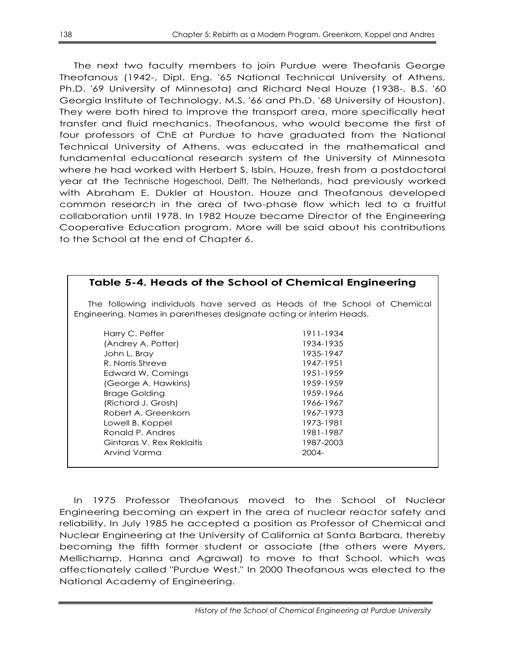The next two faculty members to join Purdue were Theofanis George Theofanous (1942-, Dipl. Eng. '65 National Technical University of Athens, Ph.D. '69 University of Minnesota) and Richard Neal Houze (1938-, B.S. '60 Georgia Institute of Technology, M.S. '66 and Ph.D. '68 University of Houston). They were both hired to improve the transport area, more specifically heat transfer and fluid mechanics. Theofanous, who would become the first of four professors of ChE at Purdue to have graduated from the National Technical University of Athens, was educated in the mathematical and fundamental educational research system of the University of Minnesota where he had worked with Herbert S. Isbin. Houze, fresh from a postdoctoral year at the Technische Hogeschool, Delft, The Netherlands, had previously worked with Abraham E. Dukler at Houston. Houze and Theofanous developed common research in the area of two-phase flow which led to a fruitful collaboration until 1978. In 1982 Houze became Director of the Engineering Cooperative Education program. More will be said about his contributions to the School at the end of Chapter 6.

## **Table 5-4. Heads of the School of Chemical Engineering**

The following individuals have served as Heads of the School of Chemical Engineering. Names in parentheses designate acting or interim Heads.

Harry C. Peffer 1911-1934 (Andrey A. Potter) 1934-1935 John L. Bray 1935-1947 R. Norris Shreve 1947-1951 Edward W. Comings 1951-1959 (George A. Hawkins) 1959-1959 Brage Golding 2008 2009 1959-1966 (Richard J. Grosh) 1966-1967 Robert A. Greenkorn 1967-1973 Lowell B. Koppel 1973-1981 Ronald P. Andres 1981-1987 Gintaras V. Rex Reklaitis 1987-2003 Arvind Varma 2004-

In 1975 Professor Theofanous moved to the School of Nuclear Engineering becoming an expert in the area of nuclear reactor safety and reliability. In July 1985 he accepted a position as Professor of Chemical and Nuclear Engineering at the University of California at Santa Barbara, thereby becoming the fifth former student or associate (the others were Myers, Mellichamp, Hanna and Agrawal) to move to that School, which was affectionately called "Purdue West." In 2000 Theofanous was elected to the National Academy of Engineering.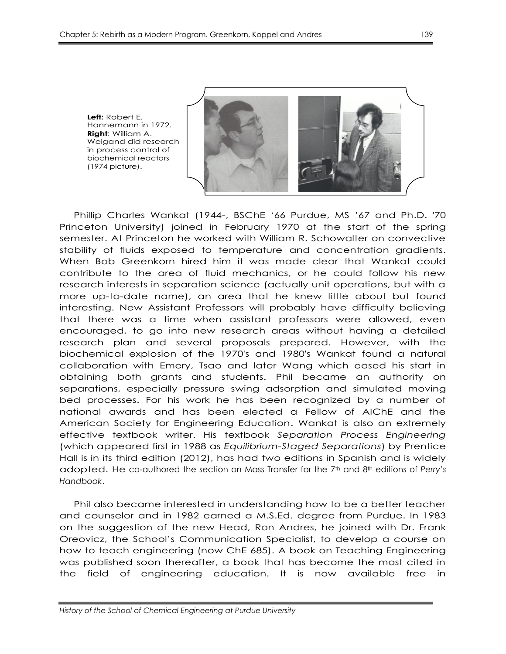**Left:** Robert E.

(1974 picture).

**Right**: William A.

Hannemann in 1972. Weigand did research in process control of biochemical reactors

Phillip Charles Wankat (1944-, BSChE ‗66 Purdue, MS '67 and Ph.D. '70 Princeton University) joined in February 1970 at the start of the spring semester. At Princeton he worked with William R. Schowalter on convective stability of fluids exposed to temperature and concentration gradients. When Bob Greenkorn hired him it was made clear that Wankat could contribute to the area of fluid mechanics, or he could follow his new research interests in separation science (actually unit operations, but with a more up-to-date name), an area that he knew little about but found interesting. New Assistant Professors will probably have difficulty believing that there was a time when assistant professors were allowed, even encouraged, to go into new research areas without having a detailed research plan and several proposals prepared. However, with the biochemical explosion of the 1970's and 1980's Wankat found a natural collaboration with Emery, Tsao and later Wang which eased his start in obtaining both grants and students. Phil became an authority on separations, especially pressure swing adsorption and simulated moving bed processes. For his work he has been recognized by a number of national awards and has been elected a Fellow of AIChE and the American Society for Engineering Education. Wankat is also an extremely effective textbook writer. His textbook *Separation Process Engineering*  (which appeared first in 1988 as *Equilibrium-Staged Separations*) by Prentice Hall is in its third edition (2012), has had two editions in Spanish and is widely adopted. He co-authored the section on Mass Transfer for the 7th and 8th editions of *Perry's Handbook*.

Phil also became interested in understanding how to be a better teacher and counselor and in 1982 earned a M.S.Ed. degree from Purdue. In 1983 on the suggestion of the new Head, Ron Andres, he joined with Dr. Frank Oreovicz, the School's Communication Specialist, to develop a course on how to teach engineering (now ChE 685). A book on Teaching Engineering was published soon thereafter, a book that has become the most cited in the field of engineering education. It is now available free in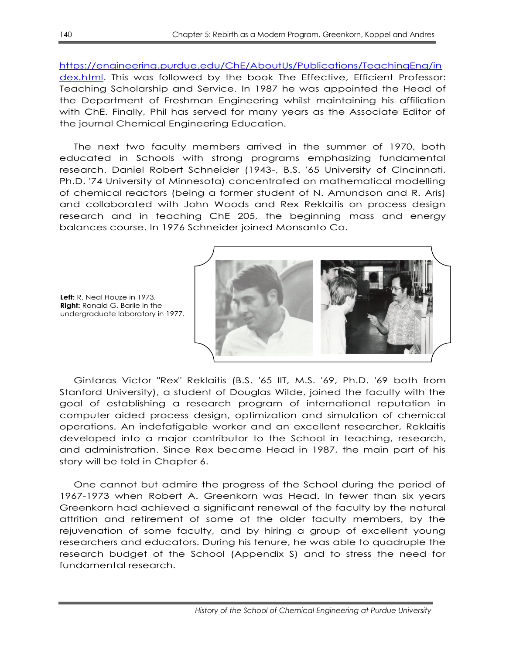[https://engineering.purdue.edu/ChE/AboutUs/Publications/TeachingEng/in](https://engineering.purdue.edu/ChE/AboutUs/Publications/TeachingEng/index.html) [dex.html.](https://engineering.purdue.edu/ChE/AboutUs/Publications/TeachingEng/index.html) This was followed by the book The Effective, Efficient Professor: Teaching Scholarship and Service. In 1987 he was appointed the Head of the Department of Freshman Engineering whilst maintaining his affiliation with ChE. Finally, Phil has served for many years as the Associate Editor of the journal Chemical Engineering Education.

The next two faculty members arrived in the summer of 1970, both educated in Schools with strong programs emphasizing fundamental research. Daniel Robert Schneider (1943-, B.S. '65 University of Cincinnati, Ph.D. '74 University of Minnesota) concentrated on mathematical modelling of chemical reactors (being a former student of N. Amundson and R. Aris) and collaborated with John Woods and Rex Reklaitis on process design research and in teaching ChE 205, the beginning mass and energy balances course. In 1976 Schneider joined Monsanto Co.

**Left:** R. Neal Houze in 1973. **Right:** Ronald G. Barile in the undergraduate laboratory in 1977.

Gintaras Victor "Rex" Reklaitis (B.S. '65 IIT, M.S. '69, Ph.D. '69 both from Stanford University), a student of Douglas Wilde, joined the faculty with the goal of establishing a research program of international reputation in computer aided process design, optimization and simulation of chemical operations. An indefatigable worker and an excellent researcher, Reklaitis developed into a major contributor to the School in teaching, research, and administration. Since Rex became Head in 1987, the main part of his story will be told in Chapter 6.

One cannot but admire the progress of the School during the period of 1967-1973 when Robert A. Greenkorn was Head. In fewer than six years Greenkorn had achieved a significant renewal of the faculty by the natural attrition and retirement of some of the older faculty members, by the rejuvenation of some faculty, and by hiring a group of excellent young researchers and educators. During his tenure, he was able to quadruple the research budget of the School (Appendix S) and to stress the need for fundamental research.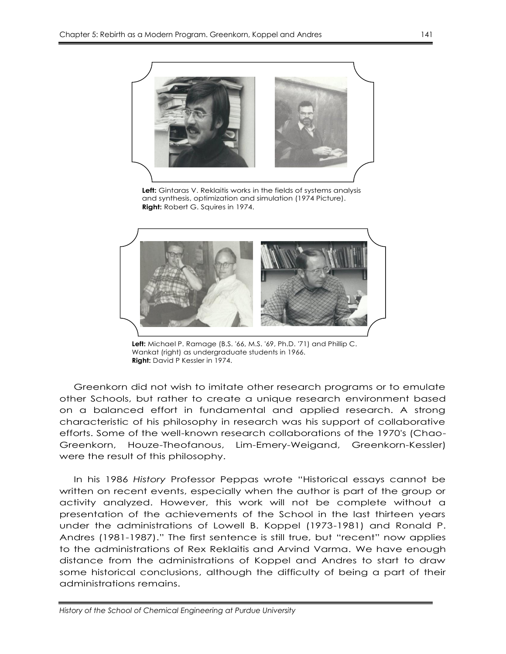

**Left:** Gintaras V. Reklaitis works in the fields of systems analysis and synthesis, optimization and simulation (1974 Picture). **Right:** Robert G. Squires in 1974.



**Left:** Michael P. Ramage (B.S. '66, M.S. '69, Ph.D. '71) and Phillip C. Wankat (right) as undergraduate students in 1966. **Right:** David P Kessler in 1974.

Greenkorn did not wish to imitate other research programs or to emulate other Schools, but rather to create a unique research environment based on a balanced effort in fundamental and applied research. A strong characteristic of his philosophy in research was his support of collaborative efforts. Some of the well-known research collaborations of the 1970's (Chao-Greenkorn, Houze-Theofanous, Lim-Emery-Weigand, Greenkorn-Kessler) were the result of this philosophy.

In his 1986 History Professor Peppas wrote "Historical essays cannot be written on recent events, especially when the author is part of the group or activity analyzed. However, this work will not be complete without a presentation of the achievements of the School in the last thirteen years under the administrations of Lowell B. Koppel (1973-1981) and Ronald P. Andres (1981-1987)." The first sentence is still true, but "recent" now applies to the administrations of Rex Reklaitis and Arvind Varma. We have enough distance from the administrations of Koppel and Andres to start to draw some historical conclusions, although the difficulty of being a part of their administrations remains.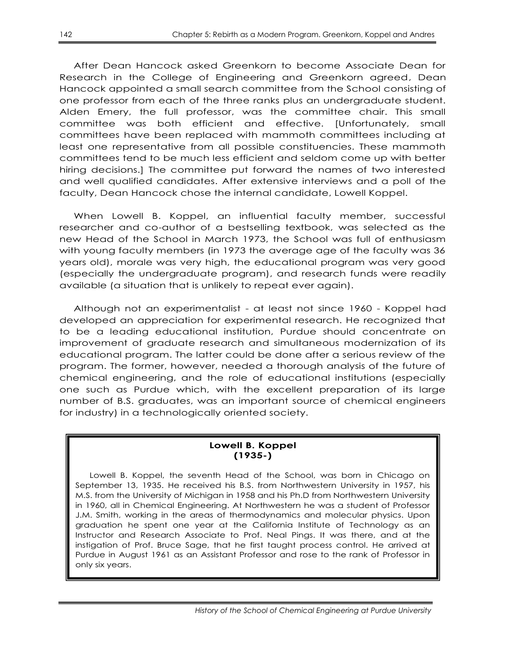After Dean Hancock asked Greenkorn to become Associate Dean for Research in the College of Engineering and Greenkorn agreed, Dean Hancock appointed a small search committee from the School consisting of one professor from each of the three ranks plus an undergraduate student. Alden Emery, the full professor, was the committee chair. This small committee was both efficient and effective. [Unfortunately, small committees have been replaced with mammoth committees including at least one representative from all possible constituencies. These mammoth committees tend to be much less efficient and seldom come up with better hiring decisions.] The committee put forward the names of two interested and well qualified candidates. After extensive interviews and a poll of the faculty, Dean Hancock chose the internal candidate, Lowell Koppel.

When Lowell B. Koppel, an influential faculty member, successful researcher and co-author of a bestselling textbook, was selected as the new Head of the School in March 1973, the School was full of enthusiasm with young faculty members (in 1973 the average age of the faculty was 36 years old), morale was very high, the educational program was very good (especially the undergraduate program), and research funds were readily available (a situation that is unlikely to repeat ever again).

Although not an experimentalist - at least not since 1960 - Koppel had developed an appreciation for experimental research. He recognized that to be a leading educational institution, Purdue should concentrate on improvement of graduate research and simultaneous modernization of its educational program. The latter could be done after a serious review of the program. The former, however, needed a thorough analysis of the future of chemical engineering, and the role of educational institutions (especially one such as Purdue which, with the excellent preparation of its large number of B.S. graduates, was an important source of chemical engineers for industry) in a technologically oriented society.

#### **Lowell B. Koppel (1935-)**

Lowell B. Koppel, the seventh Head of the School, was born in Chicago on September 13, 1935. He received his B.S. from Northwestern University in 1957, his M.S. from the University of Michigan in 1958 and his Ph.D from Northwestern University in 1960, all in Chemical Engineering. At Northwestern he was a student of Professor J.M. Smith, working in the areas of thermodynamics and molecular physics. Upon graduation he spent one year at the California Institute of Technology as an Instructor and Research Associate to Prof. Neal Pings. It was there, and at the instigation of Prof. Bruce Sage, that he first taught process control. He arrived at Purdue in August 1961 as an Assistant Professor and rose to the rank of Professor in only six years.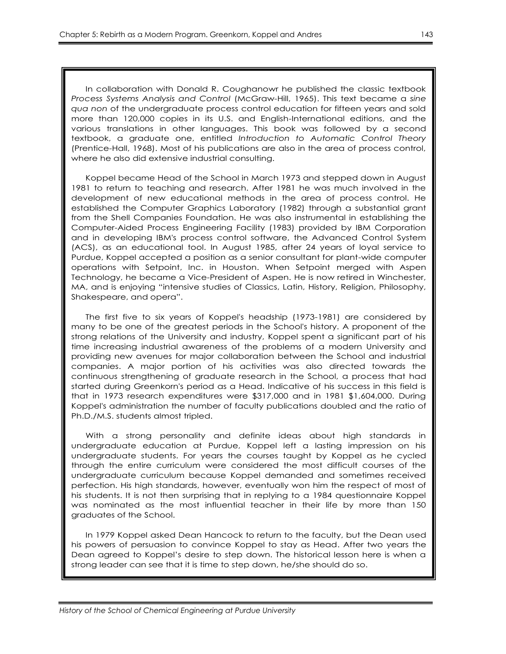In collaboration with Donald R. Coughanowr he published the classic textbook *Process Systems Analysis and Control* (McGraw-Hill, 1965). This text became a *sine qua non* of the undergraduate process control education for fifteen years and sold more than 120,000 copies in its U.S. and English-International editions, and the various translations in other languages. This book was followed by a second textbook, a graduate one, entitled *Introduction to Automatic Control Theory* (Prentice-Hall, 1968). Most of his publications are also in the area of process control, where he also did extensive industrial consulting.

Koppel became Head of the School in March 1973 and stepped down in August 1981 to return to teaching and research. After 1981 he was much involved in the development of new educational methods in the area of process control. He established the Computer Graphics Laboratory (1982) through a substantial grant from the Shell Companies Foundation. He was also instrumental in establishing the Computer-Aided Process Engineering Facility (1983) provided by IBM Corporation and in developing IBM's process control software, the Advanced Control System (ACS), as an educational tool. In August 1985, after 24 years of loyal service to Purdue, Koppel accepted a position as a senior consultant for plant-wide computer operations with Setpoint, Inc. in Houston. When Setpoint merged with Aspen Technology, he became a Vice-President of Aspen. He is now retired in Winchester, MA, and is enjoying "intensive studies of Classics, Latin, History, Religion, Philosophy, Shakespeare, and opera".

The first five to six years of Koppel's headship (1973-1981) are considered by many to be one of the greatest periods in the School's history. A proponent of the strong relations of the University and industry, Koppel spent a significant part of his time increasing industrial awareness of the problems of a modern University and providing new avenues for major collaboration between the School and industrial companies. A major portion of his activities was also directed towards the continuous strengthening of graduate research in the School, a process that had started during Greenkorn's period as a Head. Indicative of his success in this field is that in 1973 research expenditures were \$317,000 and in 1981 \$1,604,000. During Koppel's administration the number of faculty publications doubled and the ratio of Ph.D./M.S. students almost tripled.

With a strong personality and definite ideas about high standards in undergraduate education at Purdue, Koppel left a lasting impression on his undergraduate students. For years the courses taught by Koppel as he cycled through the entire curriculum were considered the most difficult courses of the undergraduate curriculum because Koppel demanded and sometimes received perfection. His high standards, however, eventually won him the respect of most of his students. It is not then surprising that in replying to a 1984 questionnaire Koppel was nominated as the most influential teacher in their life by more than 150 graduates of the School.

In 1979 Koppel asked Dean Hancock to return to the faculty, but the Dean used his powers of persuasion to convince Koppel to stay as Head. After two years the Dean agreed to Koppel's desire to step down. The historical lesson here is when a strong leader can see that it is time to step down, he/she should do so.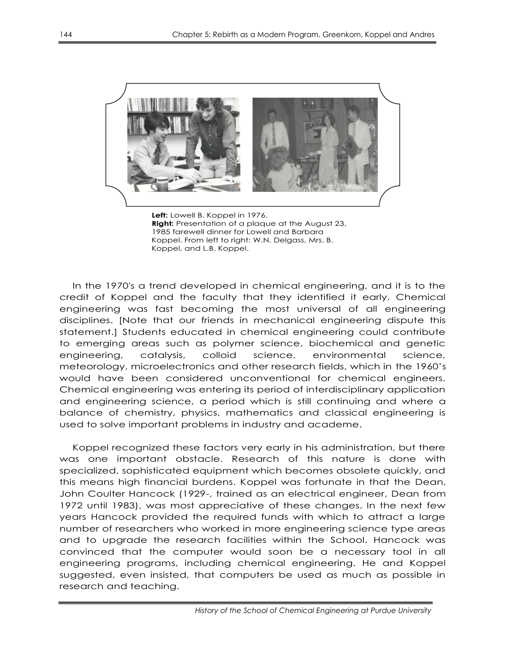

**Left:** Lowell B. Koppel in 1976. **Right:** Presentation of a plaque at the August 23, 1985 farewell dinner for Lowell and Barbara Koppel. From left to right: W.N. Delgass, Mrs. B. Koppel, and L.B. Koppel.

In the 1970's a trend developed in chemical engineering, and it is to the credit of Koppel and the faculty that they identified it early. Chemical engineering was fast becoming the most universal of all engineering disciplines. [Note that our friends in mechanical engineering dispute this statement.] Students educated in chemical engineering could contribute to emerging areas such as polymer science, biochemical and genetic engineering, catalysis, colloid science, environmental science, meteorology, microelectronics and other research fields, which in the 1960's would have been considered unconventional for chemical engineers. Chemical engineering was entering its period of interdisciplinary application and engineering science, a period which is still continuing and where a balance of chemistry, physics, mathematics and classical engineering is used to solve important problems in industry and academe.

Koppel recognized these factors very early in his administration, but there was one important obstacle. Research of this nature is done with specialized, sophisticated equipment which becomes obsolete quickly, and this means high financial burdens. Koppel was fortunate in that the Dean, John Coulter Hancock (1929-, trained as an electrical engineer, Dean from 1972 until 1983), was most appreciative of these changes. In the next few years Hancock provided the required funds with which to attract a large number of researchers who worked in more engineering science type areas and to upgrade the research facilities within the School. Hancock was convinced that the computer would soon be a necessary tool in all engineering programs, including chemical engineering. He and Koppel suggested, even insisted, that computers be used as much as possible in research and teaching.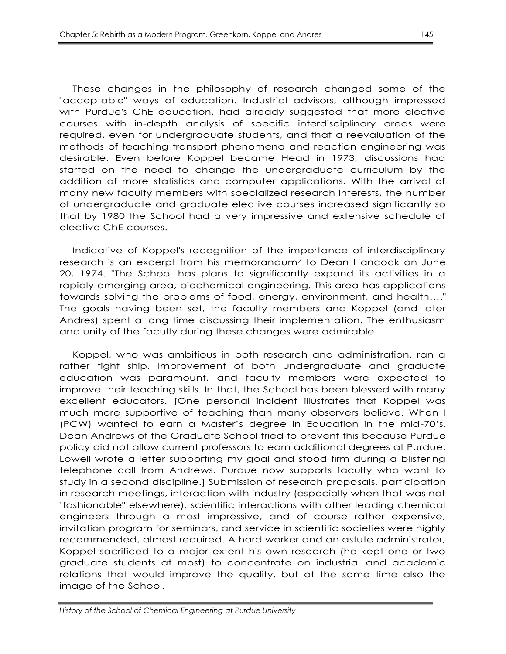These changes in the philosophy of research changed some of the "acceptable" ways of education. Industrial advisors, although impressed with Purdue's ChE education, had already suggested that more elective courses with in-depth analysis of specific interdisciplinary areas were required, even for undergraduate students, and that a reevaluation of the methods of teaching transport phenomena and reaction engineering was desirable. Even before Koppel became Head in 1973, discussions had started on the need to change the undergraduate curriculum by the addition of more statistics and computer applications. With the arrival of many new faculty members with specialized research interests, the number of undergraduate and graduate elective courses increased significantly so that by 1980 the School had a very impressive and extensive schedule of elective ChE courses.

Indicative of Koppel's recognition of the importance of interdisciplinary research is an excerpt from his memorandum<sup>7</sup> to Dean Hancock on June 20, 1974. "The School has plans to significantly expand its activities in a rapidly emerging area, biochemical engineering. This area has applications towards solving the problems of food, energy, environment, and health…." The goals having been set, the faculty members and Koppel (and later Andres) spent a long time discussing their implementation. The enthusiasm and unity of the faculty during these changes were admirable.

Koppel, who was ambitious in both research and administration, ran a rather tight ship. Improvement of both undergraduate and graduate education was paramount, and faculty members were expected to improve their teaching skills. In that, the School has been blessed with many excellent educators. [One personal incident illustrates that Koppel was much more supportive of teaching than many observers believe. When I (PCW) wanted to earn a Master's degree in Education in the mid-70's, Dean Andrews of the Graduate School tried to prevent this because Purdue policy did not allow current professors to earn additional degrees at Purdue. Lowell wrote a letter supporting my goal and stood firm during a blistering telephone call from Andrews. Purdue now supports faculty who want to study in a second discipline.] Submission of research proposals, participation in research meetings, interaction with industry (especially when that was not "fashionable" elsewhere), scientific interactions with other leading chemical engineers through a most impressive, and of course rather expensive, invitation program for seminars, and service in scientific societies were highly recommended, almost required. A hard worker and an astute administrator, Koppel sacrificed to a major extent his own research (he kept one or two graduate students at most) to concentrate on industrial and academic relations that would improve the quality, but at the same time also the image of the School.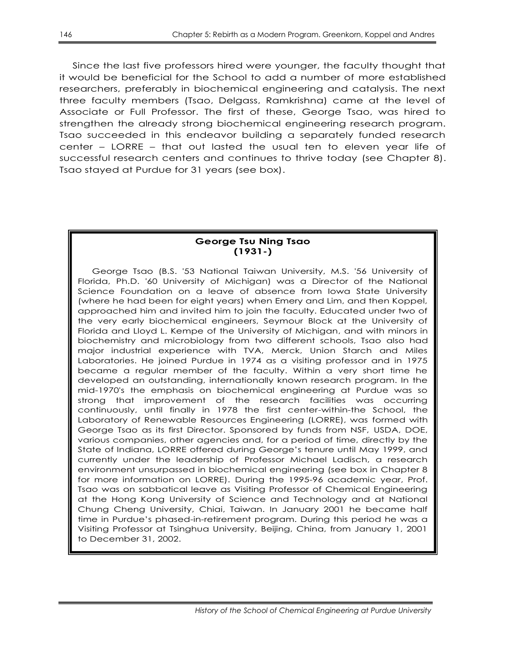Since the last five professors hired were younger, the faculty thought that it would be beneficial for the School to add a number of more established researchers, preferably in biochemical engineering and catalysis. The next three faculty members (Tsao, Delgass, Ramkrishna) came at the level of Associate or Full Professor. The first of these, George Tsao, was hired to strengthen the already strong biochemical engineering research program. Tsao succeeded in this endeavor building a separately funded research center – LORRE – that out lasted the usual ten to eleven year life of successful research centers and continues to thrive today (see Chapter 8). Tsao stayed at Purdue for 31 years (see box).

#### **George Tsu Ning Tsao (1931-)**

George Tsao (B.S. '53 National Taiwan University, M.S. '56 University of Florida, Ph.D. '60 University of Michigan) was a Director of the National Science Foundation on a leave of absence from Iowa State University (where he had been for eight years) when Emery and Lim, and then Koppel, approached him and invited him to join the faculty. Educated under two of the very early biochemical engineers, Seymour Block at the University of Florida and Lloyd L. Kempe of the University of Michigan, and with minors in biochemistry and microbiology from two different schools, Tsao also had major industrial experience with TVA, Merck, Union Starch and Miles Laboratories. He joined Purdue in 1974 as a visiting professor and in 1975 became a regular member of the faculty. Within a very short time he developed an outstanding, internationally known research program. In the mid-1970's the emphasis on biochemical engineering at Purdue was so strong that improvement of the research facilities was occurring continuously, until finally in 1978 the first center-within-the School, the Laboratory of Renewable Resources Engineering (LORRE), was formed with George Tsao as its first Director. Sponsored by funds from NSF, USDA, DOE, various companies, other agencies and, for a period of time, directly by the State of Indiana, LORRE offered during George's tenure until May 1999, and currently under the leadership of Professor Michael Ladisch, a research environment unsurpassed in biochemical engineering (see box in Chapter 8 for more information on LORRE). During the 1995-96 academic year, Prof. Tsao was on sabbatical leave as Visiting Professor of Chemical Engineering at the Hong Kong University of Science and Technology and at National Chung Cheng University, Chiai, Taiwan. In January 2001 he became half time in Purdue's phased-in-retirement program. During this period he was a Visiting Professor at Tsinghua University, Beijing, China, from January 1, 2001 to December 31, 2002.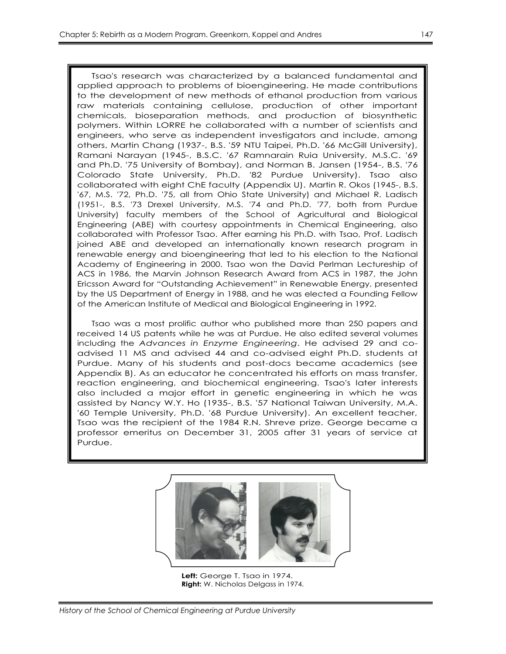Tsao's research was characterized by a balanced fundamental and applied approach to problems of bioengineering. He made contributions to the development of new methods of ethanol production from various raw materials containing cellulose, production of other important chemicals, bioseparation methods, and production of biosynthetic polymers. Within LORRE he collaborated with a number of scientists and engineers, who serve as independent investigators and include, among others, Martin Chang (1937-, B.S. '59 NTU Taipei, Ph.D. '66 McGill University), Ramani Narayan (1945-, B.S.C. '67 Ramnarain Ruia University, M.S.C. '69 and Ph.D. '75 University of Bombay), and Norman B. Jansen (1954-, B.S. '76 Colorado State University, Ph.D. '82 Purdue University). Tsao also collaborated with eight ChE faculty (Appendix U). Martin R. Okos (1945-, B.S. '67, M.S. '72, Ph.D. '75, all from Ohio State University) and Michael R. Ladisch (1951-, B.S. '73 Drexel University, M.S. '74 and Ph.D. '77, both from Purdue University) faculty members of the School of Agricultural and Biological Engineering (ABE) with courtesy appointments in Chemical Engineering, also collaborated with Professor Tsao. After earning his Ph.D. with Tsao, Prof. Ladisch joined ABE and developed an internationally known research program in renewable energy and bioengineering that led to his election to the National Academy of Engineering in 2000. Tsao won the David Perlman Lectureship of ACS in 1986, the Marvin Johnson Research Award from ACS in 1987, the John Ericsson Award for "Outstanding Achievement" in Renewable Energy, presented by the US Department of Energy in 1988, and he was elected a Founding Fellow of the American Institute of Medical and Biological Engineering in 1992.

Tsao was a most prolific author who published more than 250 papers and received 14 US patents while he was at Purdue. He also edited several volumes including the *Advances in Enzyme Engineering*. He advised 29 and coadvised 11 MS and advised 44 and co-advised eight Ph.D. students at Purdue. Many of his students and post-docs became academics (see Appendix B). As an educator he concentrated his efforts on mass transfer, reaction engineering, and biochemical engineering. Tsao's later interests also included a major effort in genetic engineering in which he was assisted by Nancy W.Y. Ho (1935-, B.S. '57 National Taiwan University, M.A. '60 Temple University, Ph.D. '68 Purdue University). An excellent teacher, Tsao was the recipient of the 1984 R.N. Shreve prize. George became a professor emeritus on December 31, 2005 after 31 years of service at Purdue.



**Left:** George T. Tsao in 1974. **Right:** W. Nicholas Delgass in 1974.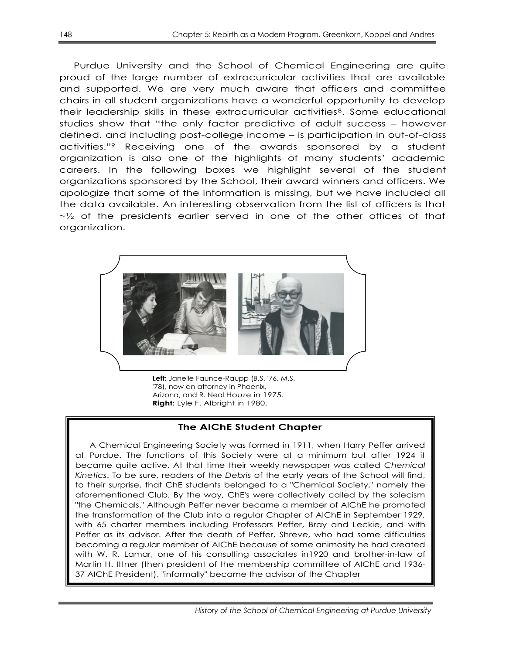Purdue University and the School of Chemical Engineering are quite proud of the large number of extracurricular activities that are available and supported. We are very much aware that officers and committee chairs in all student organizations have a wonderful opportunity to develop their leadership skills in these extracurricular activities8. Some educational studies show that "the only factor predictive of adult success – however defined, and including post-college income – is participation in out-of-class activities.‖<sup>9</sup> Receiving one of the awards sponsored by a student organization is also one of the highlights of many students' academic careers. In the following boxes we highlight several of the student organizations sponsored by the School, their award winners and officers. We apologize that some of the information is missing, but we have included all the data available. An interesting observation from the list of officers is that  $\sim$  2 of the presidents earlier served in one of the other offices of that organization.



**Left:** Janelle Faunce-Raupp (B.S. '76, M.S. '78), now an attorney in Phoenix, Arizona, and R. Neal Houze in 1975. **Right:** Lyle F. Albright in 1980.

## **The AIChE Student Chapter**

A Chemical Engineering Society was formed in 1911, when Harry Peffer arrived at Purdue. The functions of this Society were at a minimum but after 1924 it became quite active. At that time their weekly newspaper was called *Chemical Kinetics*. To be sure, readers of the *Debris* of the early years of the School will find, to their surprise, that ChE students belonged to a "Chemical Society," namely the aforementioned Club. By the way, ChE's were collectively called by the solecism "the Chemicals." Although Peffer never became a member of AIChE he promoted the transformation of the Club into a regular Chapter of AIChE in September 1929, with 65 charter members including Professors Peffer, Bray and Leckie, and with Peffer as its advisor. After the death of Peffer, Shreve, who had some difficulties becoming a regular member of AIChE because of some animosity he had created with W. R. Lamar, one of his consulting associates in1920 and brother-in-law of Martin H. Ittner (then president of the membership committee of AIChE and 1936- 37 AIChE President), "informally" became the advisor of the Chapter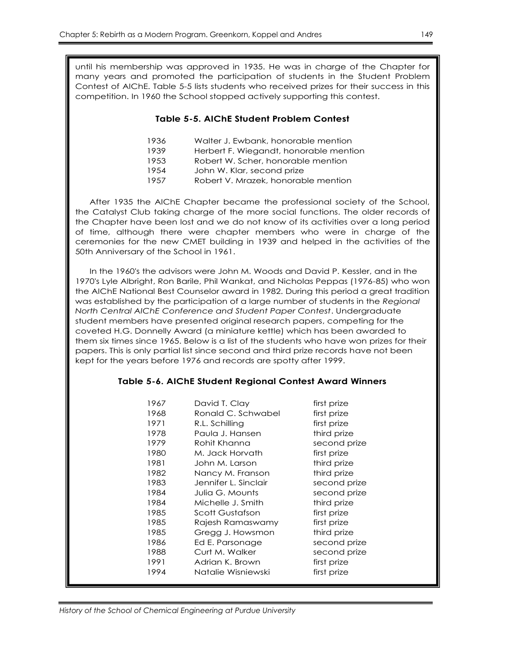until his membership was approved in 1935. He was in charge of the Chapter for many years and promoted the participation of students in the Student Problem Contest of AIChE. Table 5-5 lists students who received prizes for their success in this competition. In 1960 the School stopped actively supporting this contest.

#### **Table 5-5. AIChE Student Problem Contest**

- 1936 Walter J. Ewbank, honorable mention
- 1939 Herbert F. Wiegandt, honorable mention
- 1953 Robert W. Scher, honorable mention
- 1954 John W. Klar, second prize
- 1957 Robert V. Mrazek, honorable mention

After 1935 the AIChE Chapter became the professional society of the School, the Catalyst Club taking charge of the more social functions. The older records of the Chapter have been lost and we do not know of its activities over a long period of time, although there were chapter members who were in charge of the ceremonies for the new CMET building in 1939 and helped in the activities of the 50th Anniversary of the School in 1961.

In the 1960's the advisors were John M. Woods and David P. Kessler, and in the 1970's Lyle Albright, Ron Barile, Phil Wankat, and Nicholas Peppas (1976-85) who won the AIChE National Best Counselor award in 1982. During this period a great tradition was established by the participation of a large number of students in the *Regional North Central AIChE Conference and Student Paper Contest*. Undergraduate student members have presented original research papers, competing for the coveted H.G. Donnelly Award (a miniature kettle) which has been awarded to them six times since 1965. Below is a list of the students who have won prizes for their papers. This is only partial list since second and third prize records have not been kept for the years before 1976 and records are spotty after 1999.

#### **Table 5-6. AIChE Student Regional Contest Award Winners**

| 1967 | David T. Clay        | first prize  |
|------|----------------------|--------------|
| 1968 | Ronald C. Schwabel   | first prize  |
| 1971 | R.L. Schilling       | first prize  |
| 1978 | Paula J. Hansen      | third prize  |
| 1979 | Rohit Khanna         | second prize |
| 1980 | M. Jack Horvath      | first prize  |
| 1981 | John M. Larson       | third prize  |
| 1982 | Nancy M. Franson     | third prize  |
| 1983 | Jennifer L. Sinclair | second prize |
| 1984 | Julia G. Mounts      | second prize |
| 1984 | Michelle J. Smith    | third prize  |
| 1985 | Scott Gustafson      | first prize  |
| 1985 | Rajesh Ramaswamy     | first prize  |
| 1985 | Gregg J. Howsmon     | third prize  |
| 1986 | Ed E. Parsonage      | second prize |
| 1988 | Curt M. Walker       | second prize |
| 1991 | Adrian K. Brown      | first prize  |
| 1994 | Natalie Wisniewski   | first prize  |
|      |                      |              |

*History of the School of Chemical Engineering at Purdue University*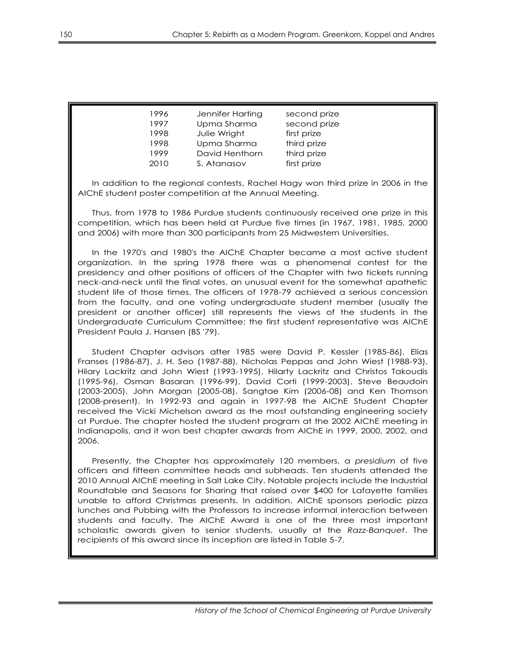| 1996 | Jennifer Harting | second prize |
|------|------------------|--------------|
| 1997 | Upma Sharma      | second prize |
| 1998 | Julie Wright     | first prize  |
| 1998 | Upma Sharma      | third prize  |
| 1999 | David Henthorn   | third prize  |
| 2010 | S. Atanasov      | first prize  |

In addition to the regional contests, Rachel Hagy won third prize in 2006 in the AIChE student poster competition at the Annual Meeting.

Thus, from 1978 to 1986 Purdue students continuously received one prize in this competition, which has been held at Purdue five times (in 1967, 1981, 1985, 2000 and 2006) with more than 300 participants from 25 Midwestern Universities.

In the 1970's and 1980's the AIChE Chapter became a most active student organization. In the spring 1978 there was a phenomenal contest for the presidency and other positions of officers of the Chapter with two tickets running neck-and-neck until the final votes, an unusual event for the somewhat apathetic student life of those times. The officers of 1978-79 achieved a serious concession from the faculty, and one voting undergraduate student member (usually the president or another officer) still represents the views of the students in the Undergraduate Curriculum Committee; the first student representative was AIChE President Paula J. Hansen (BS '79).

Student Chapter advisors after 1985 were David P. Kessler (1985-86), Elias Franses (1986-87), J. H. Seo (1987-88), Nicholas Peppas and John Wiest (1988-93), Hilary Lackritz and John Wiest (1993-1995), Hilarty Lackritz and Christos Takoudis (1995-96), Osman Basaran (1996-99), David Corti (1999-2003), Steve Beaudoin (2003-2005), John Morgan (2005-08), Sangtae Kim (2006-08) and Ken Thomson (2008-present). In 1992-93 and again in 1997-98 the AIChE Student Chapter received the Vicki Michelson award as the most outstanding engineering society at Purdue. The chapter hosted the student program at the 2002 AIChE meeting in Indianapolis, and it won best chapter awards from AIChE in 1999, 2000, 2002, and 2006.

Presently, the Chapter has approximately 120 members, a *presidium* of five officers and fifteen committee heads and subheads. Ten students attended the 2010 Annual AIChE meeting in Salt Lake City. Notable projects include the Industrial Roundtable and Seasons for Sharing that raised over \$400 for Lafayette families unable to afford Christmas presents. In addition, AIChE sponsors periodic pizza lunches and Pubbing with the Professors to increase informal interaction between students and faculty. The AIChE Award is one of the three most important scholastic awards given to senior students, usually at the *Razz-Banquet*. The recipients of this award since its inception are listed in Table 5-7.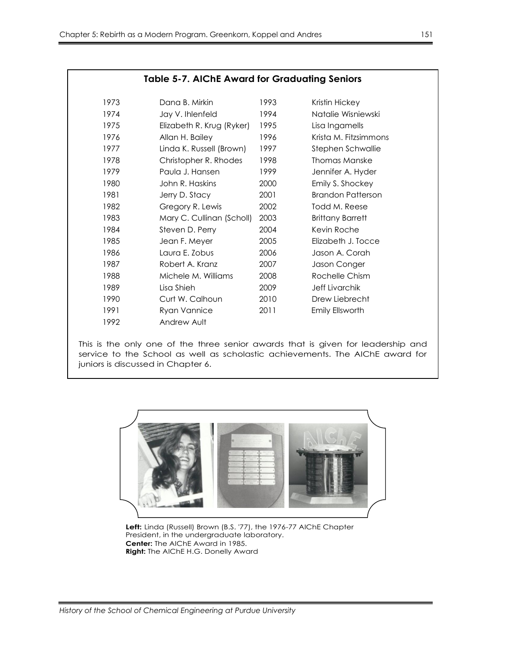| <b>Table 5-7. AIChE Award for Graduating Seniors</b> |                           |      |                          |
|------------------------------------------------------|---------------------------|------|--------------------------|
| 1973                                                 | Dana B. Mirkin            | 1993 | Kristin Hickey           |
| 1974                                                 | Jay V. Ihlenfeld          | 1994 | Natalie Wisniewski       |
| 1975                                                 | Elizabeth R. Krug (Ryker) | 1995 | Lisa Ingamells           |
| 1976                                                 | Allan H. Bailey           | 1996 | Krista M. Fitzsimmons    |
| 1977                                                 | Linda K. Russell (Brown)  | 1997 | Stephen Schwallie        |
| 1978                                                 | Christopher R. Rhodes     | 1998 | Thomas Manske            |
| 1979                                                 | Paula J. Hansen           | 1999 | Jennifer A. Hyder        |
| 1980                                                 | John R. Haskins           | 2000 | Emily S. Shockey         |
| 1981                                                 | Jerry D. Stacy            | 2001 | <b>Brandon Patterson</b> |
| 1982                                                 | Gregory R. Lewis          | 2002 | Todd M. Reese            |
| 1983                                                 | Mary C. Cullinan (Scholl) | 2003 | <b>Brittany Barrett</b>  |
| 1984                                                 | Steven D. Perry           | 2004 | Kevin Roche              |
| 1985                                                 | Jean F. Meyer             | 2005 | Elizabeth J. Tocce       |
| 1986                                                 | Laura E. Zobus            | 2006 | Jason A. Corah           |
| 1987                                                 | Robert A. Kranz           | 2007 | Jason Conger             |
| 1988                                                 | Michele M. Williams       | 2008 | Rochelle Chism           |
| 1989                                                 | Lisa Shieh                | 2009 | <b>Jeff Livarchik</b>    |
| 1990                                                 | Curt W. Calhoun           | 2010 | Drew Liebrecht           |
| 1991                                                 | Ryan Vannice              | 2011 | Emily Ellsworth          |
| 1992                                                 | Andrew Ault               |      |                          |

This is the only one of the three senior awards that is given for leadership and service to the School as well as scholastic achievements. The AIChE award for juniors is discussed in Chapter 6.



**Left:** Linda (Russell) Brown (B.S. '77), the 1976-77 AIChE Chapter President, in the undergraduate laboratory. **Center:** The AIChE Award in 1985. **Right:** The AIChE H.G. Donelly Award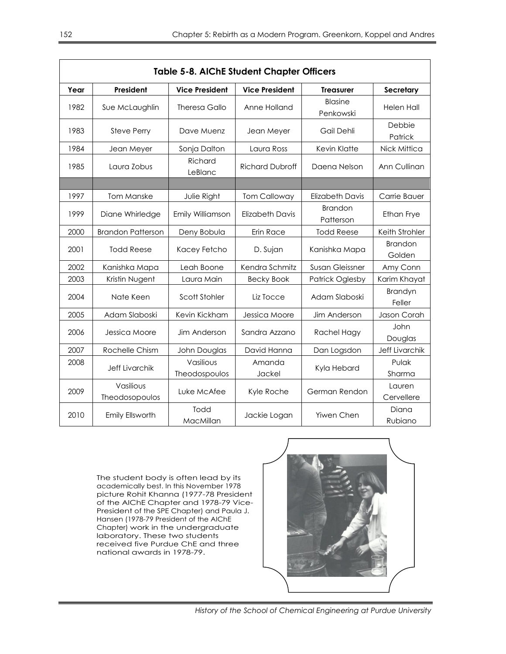| <b>Table 5-8. AIChE Student Chapter Officers</b> |                             |                            |                        |                             |                          |
|--------------------------------------------------|-----------------------------|----------------------------|------------------------|-----------------------------|--------------------------|
| Year                                             | President                   | <b>Vice President</b>      | <b>Vice President</b>  | <b>Treasurer</b>            | Secretary                |
| 1982                                             | Sue McLaughlin              | <b>Theresa Gallo</b>       | Anne Holland           | Blasine<br>Penkowski        | <b>Helen Hall</b>        |
| 1983                                             | <b>Steve Perry</b>          | Dave Muenz                 | Jean Meyer             | Gail Dehli                  | Debbie<br>Patrick        |
| 1984                                             | Jean Meyer                  | Sonja Dalton               | Laura Ross             | Kevin Klatte                | Nick Mittica             |
| 1985                                             | Laura Zobus                 | Richard<br>LeBlanc         | <b>Richard Dubroff</b> | Daena Nelson                | Ann Cullinan             |
|                                                  |                             |                            |                        |                             |                          |
| 1997                                             | <b>Tom Manske</b>           | Julie Right                | <b>Tom Calloway</b>    | <b>Elizabeth Davis</b>      | Carrie Bauer             |
| 1999                                             | Diane Whirledge             | Emily Williamson           | <b>Elizabeth Davis</b> | <b>Brandon</b><br>Patterson | <b>Ethan Frye</b>        |
| 2000                                             | <b>Brandon Patterson</b>    | Deny Bobula                | Erin Race              | <b>Todd Reese</b>           | Keith Strohler           |
| 2001                                             | <b>Todd Reese</b>           | Kacey Fetcho               | D. Sujan               | Kanishka Mapa               | <b>Brandon</b><br>Golden |
| 2002                                             | Kanishka Mapa               | Leah Boone                 | Kendra Schmitz         | <b>Susan Gleissner</b>      | Amy Conn                 |
| 2003                                             | Kristin Nugent              | Laura Main                 | <b>Becky Book</b>      | <b>Patrick Oglesby</b>      | Karim Khayat             |
| 2004                                             | Nate Keen                   | Scott Stohler              | Liz Tocce              | Adam Slaboski               | Brandyn<br>Feller        |
| 2005                                             | Adam Slaboski               | Kevin Kickham              | Jessica Moore          | Jim Anderson                | Jason Corah              |
| 2006                                             | Jessica Moore               | Jim Anderson               | Sandra Azzano          | Rachel Hagy                 | John<br>Douglas          |
| 2007                                             | Rochelle Chism              | John Douglas               | David Hanna            | Dan Logsdon                 | <b>Jeff Livarchik</b>    |
| 2008                                             | <b>Jeff Livarchik</b>       | Vasilious<br>Theodospoulos | Amanda<br>Jackel       | Kyla Hebard                 | Pulak<br>Sharma          |
| 2009                                             | Vasilious<br>Theodosopoulos | Luke McAfee                | Kyle Roche             | German Rendon               | Lauren<br>Cervellere     |
| 2010                                             | Emily Ellsworth             | Todd<br>MacMillan          | Jackie Logan           | Yiwen Chen                  | Diana<br>Rubiano         |

The student body is often lead by its academically best. In this November 1978 picture Rohit Khanna (1977-78 President of the AIChE Chapter and 1978-79 Vice-President of the SPE Chapter) and Paula J. Hansen (1978-79 President of the AIChE Chapter) work in the undergraduate laboratory. These two students received five Purdue ChE and three national awards in 1978-79.

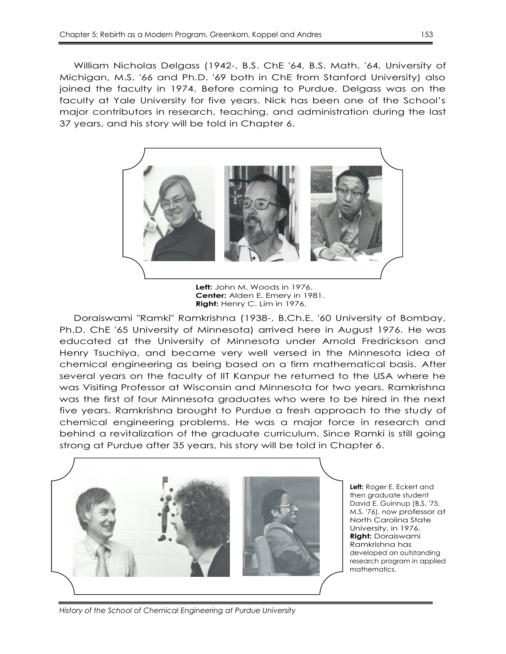William Nicholas Delgass (1942-, B.S. ChE '64, B.S. Math. '64, University of Michigan, M.S. '66 and Ph.D. '69 both in ChE from Stanford University) also joined the faculty in 1974. Before coming to Purdue, Delgass was on the faculty at Yale University for five years. Nick has been one of the School's major contributors in research, teaching, and administration during the last 37 years, and his story will be told in Chapter 6.



**Center:** Alden E. Emery in 1981. **Right:** Henry C. Lim in 1976.

Doraiswami "Ramki" Ramkrishna (1938-, B.Ch.E. '60 University of Bombay, Ph.D. ChE '65 University of Minnesota) arrived here in August 1976. He was educated at the University of Minnesota under Arnold Fredrickson and Henry Tsuchiya, and became very well versed in the Minnesota idea of chemical engineering as being based on a firm mathematical basis. After several years on the faculty of IIT Kanpur he returned to the USA where he was Visiting Professor at Wisconsin and Minnesota for two years. Ramkrishna was the first of four Minnesota graduates who were to be hired in the next five years. Ramkrishna brought to Purdue a fresh approach to the study of chemical engineering problems. He was a major force in research and behind a revitalization of the graduate curriculum. Since Ramki is still going strong at Purdue after 35 years, his story will be told in Chapter 6.



**Left:** Roger E. Eckert and then graduate student David E. Guinnup (B.S. '75, M.S. '76), now professor at North Carolina State University, in 1976. **Right:** Doraiswami Ramkrishna has developed an outstanding research program in applied mathematics.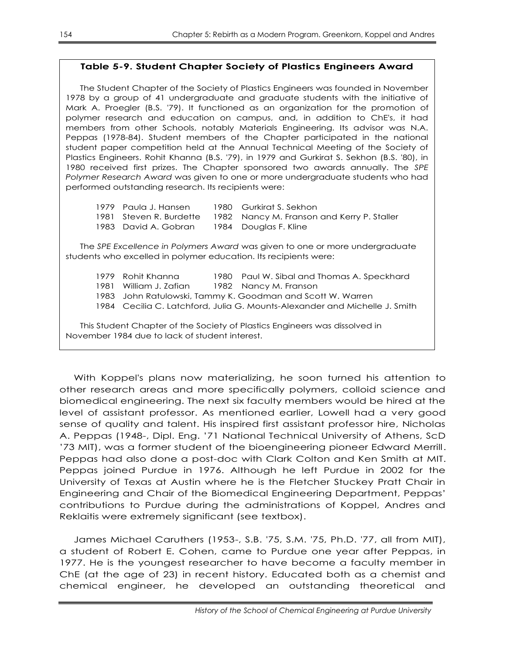## **Table 5-9. Student Chapter Society of Plastics Engineers Award**

The Student Chapter of the Society of Plastics Engineers was founded in November 1978 by a group of 41 undergraduate and graduate students with the initiative of Mark A. Proegler (B.S. '79). It functioned as an organization for the promotion of polymer research and education on campus, and, in addition to ChE's, it had members from other Schools, notably Materials Engineering. Its advisor was N.A. Peppas (1978-84). Student members of the Chapter participated in the national student paper competition held at the Annual Technical Meeting of the Society of Plastics Engineers. Rohit Khanna (B.S. '79), in 1979 and Gurkirat S. Sekhon (B.S. '80), in 1980 received first prizes. The Chapter sponsored two awards annually. The *SPE Polymer Research Award* was given to one or more undergraduate students who had performed outstanding research. Its recipients were:

| 1979 Paula J. Hansen                       | 1980 Gurkirat S. Sekhon                                                    |
|--------------------------------------------|----------------------------------------------------------------------------|
|                                            | 1981   Steven R. Burdette     1982   Nancy M. Franson and Kerry P. Staller |
| 1983 David A. Gobran 1984 Douglas F. Kline |                                                                            |

The *SPE Excellence in Polymers Award* was given to one or more undergraduate students who excelled in polymer education. Its recipients were:

1979 Rohit Khanna 1980 Paul W. Sibal and Thomas A. Speckhard 1981 William J. Zafian 1982 Nancy M. Franson 1983 John Ratulowski, Tammy K. Goodman and Scott W. Warren 1984 Cecilia C. Latchford, Julia G. Mounts-Alexander and Michelle J. Smith This Student Chapter of the Society of Plastics Engineers was dissolved in November 1984 due to lack of student interest.

With Koppel's plans now materializing, he soon turned his attention to other research areas and more specifically polymers, colloid science and biomedical engineering. The next six faculty members would be hired at the level of assistant professor. As mentioned earlier, Lowell had a very good sense of quality and talent. His inspired first assistant professor hire, Nicholas A. Peppas (1948-, Dipl. Eng. '71 National Technical University of Athens, ScD '73 MIT), was a former student of the bioengineering pioneer Edward Merrill. Peppas had also done a post-doc with Clark Colton and Ken Smith at MIT. Peppas joined Purdue in 1976. Although he left Purdue in 2002 for the University of Texas at Austin where he is the Fletcher Stuckey Pratt Chair in Engineering and Chair of the Biomedical Engineering Department, Peppas' contributions to Purdue during the administrations of Koppel, Andres and Reklaitis were extremely significant (see textbox).

James Michael Caruthers (1953-, S.B. '75, S.M. '75, Ph.D. '77, all from MIT), a student of Robert E. Cohen, came to Purdue one year after Peppas, in 1977. He is the youngest researcher to have become a faculty member in ChE (at the age of 23) in recent history. Educated both as a chemist and chemical engineer, he developed an outstanding theoretical and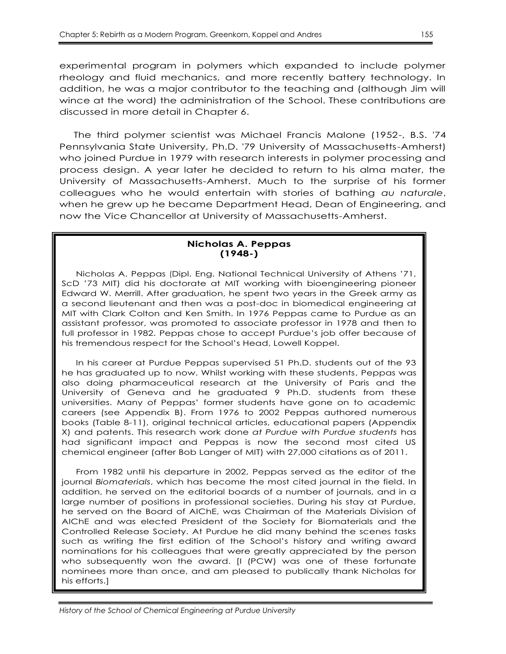experimental program in polymers which expanded to include polymer rheology and fluid mechanics, and more recently battery technology. In addition, he was a major contributor to the teaching and (although Jim will wince at the word) the administration of the School. These contributions are discussed in more detail in Chapter 6.

The third polymer scientist was Michael Francis Malone (1952-, B.S. '74 Pennsylvania State University, Ph.D. '79 University of Massachusetts-Amherst) who joined Purdue in 1979 with research interests in polymer processing and process design. A year later he decided to return to his alma mater, the University of Massachusetts-Amherst. Much to the surprise of his former colleagues who he would entertain with stories of bathing *au naturale*, when he grew up he became Department Head, Dean of Engineering, and now the Vice Chancellor at University of Massachusetts-Amherst.

#### **Nicholas A. Peppas (1948-)**

Nicholas A. Peppas (Dipl. Eng. National Technical University of Athens '71, ScD '73 MIT) did his doctorate at MIT working with bioengineering pioneer Edward W. Merrill. After graduation, he spent two years in the Greek army as a second lieutenant and then was a post-doc in biomedical engineering at MIT with Clark Colton and Ken Smith. In 1976 Peppas came to Purdue as an assistant professor, was promoted to associate professor in 1978 and then to full professor in 1982. Peppas chose to accept Purdue's job offer because of his tremendous respect for the School's Head, Lowell Koppel.

In his career at Purdue Peppas supervised 51 Ph.D. students out of the 93 he has graduated up to now. Whilst working with these students, Peppas was also doing pharmaceutical research at the University of Paris and the University of Geneva and he graduated 9 Ph.D. students from these universities. Many of Peppas' former students have gone on to academic careers (see Appendix B). From 1976 to 2002 Peppas authored numerous books (Table 8-11), original technical articles, educational papers (Appendix X) and patents. This research work done *at Purdue with Purdue students* has had significant impact and Peppas is now the second most cited US chemical engineer (after Bob Langer of MIT) with 27,000 citations as of 2011.

From 1982 until his departure in 2002, Peppas served as the editor of the journal *Biomaterials*, which has become the most cited journal in the field. In addition, he served on the editorial boards of a number of journals, and in a large number of positions in professional societies. During his stay at Purdue, he served on the Board of AIChE, was Chairman of the Materials Division of AIChE and was elected President of the Society for Biomaterials and the Controlled Release Society. At Purdue he did many behind the scenes tasks such as writing the first edition of the School's history and writing award nominations for his colleagues that were greatly appreciated by the person who subsequently won the award. [I (PCW) was one of these fortunate nominees more than once, and am pleased to publically thank Nicholas for his efforts.]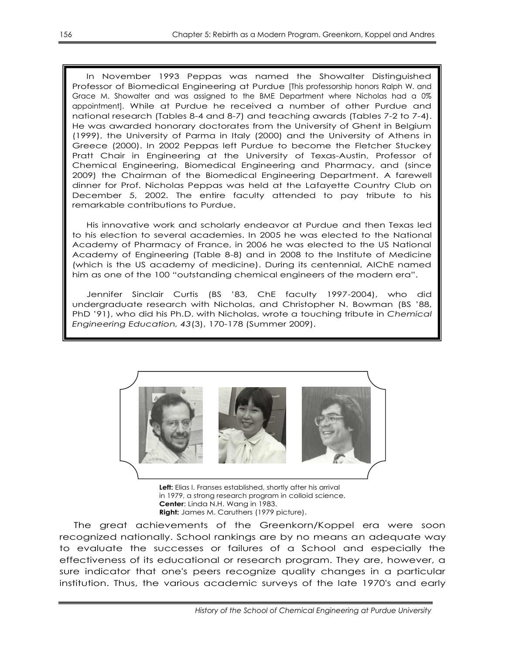In November 1993 Peppas was named the Showalter Distinguished Professor of Biomedical Engineering at Purdue [This professorship honors Ralph W. and Grace M. Showalter and was assigned to the BME Department where Nicholas had a 0% appointment]. While at Purdue he received a number of other Purdue and national research (Tables 8-4 and 8-7) and teaching awards (Tables 7-2 to 7-4). He was awarded honorary doctorates from the University of Ghent in Belgium (1999), the University of Parma in Italy (2000) and the University of Athens in Greece (2000). In 2002 Peppas left Purdue to become the Fletcher Stuckey Pratt Chair in Engineering at the University of Texas-Austin, Professor of Chemical Engineering, Biomedical Engineering and Pharmacy, and (since 2009) the Chairman of the Biomedical Engineering Department. A farewell dinner for Prof. Nicholas Peppas was held at the Lafayette Country Club on December 5, 2002. The entire faculty attended to pay tribute to his remarkable contributions to Purdue.

His innovative work and scholarly endeavor at Purdue and then Texas led to his election to several academies. In 2005 he was elected to the National Academy of Pharmacy of France, in 2006 he was elected to the US National Academy of Engineering (Table 8-8) and in 2008 to the Institute of Medicine (which is the US academy of medicine). During its centennial, AIChE named him as one of the 100 "outstanding chemical engineers of the modern era".

Jennifer Sinclair Curtis (BS '83, ChE faculty 1997-2004), who did undergraduate research with Nicholas, and Christopher N. Bowman (BS '88, PhD '91), who did his Ph.D. with Nicholas, wrote a touching tribute in *Chemical Engineering Education, 43*(3), 170-178 (Summer 2009).



**Left:** Elias I. Franses established, shortly after his arrival in 1979, a strong research program in colloid science. **Center**: Linda N.H. Wang in 1983. **Right:** James M. Caruthers (1979 picture).

The great achievements of the Greenkorn/Koppel era were soon recognized nationally. School rankings are by no means an adequate way to evaluate the successes or failures of a School and especially the effectiveness of its educational or research program. They are, however, a sure indicator that one's peers recognize quality changes in a particular institution. Thus, the various academic surveys of the late 1970's and early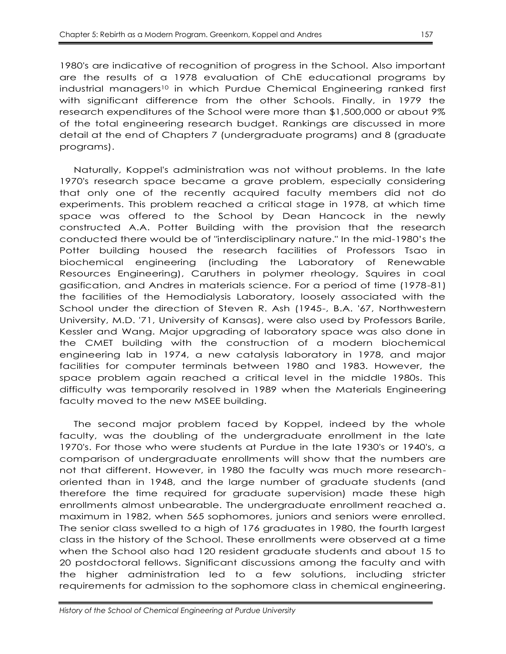1980's are indicative of recognition of progress in the School. Also important are the results of a 1978 evaluation of ChE educational programs by industrial managers<sup>10</sup> in which Purdue Chemical Engineering ranked first with significant difference from the other Schools. Finally, in 1979 the research expenditures of the School were more than \$1,500,000 or about 9% of the total engineering research budget. Rankings are discussed in more detail at the end of Chapters 7 (undergraduate programs) and 8 (graduate programs).

Naturally, Koppel's administration was not without problems. In the late 1970's research space became a grave problem, especially considering that only one of the recently acquired faculty members did not do experiments. This problem reached a critical stage in 1978, at which time space was offered to the School by Dean Hancock in the newly constructed A.A. Potter Building with the provision that the research conducted there would be of "interdisciplinary nature." In the mid-1980's the Potter building housed the research facilities of Professors Tsao in biochemical engineering (including the Laboratory of Renewable Resources Engineering), Caruthers in polymer rheology, Squires in coal gasification, and Andres in materials science. For a period of time (1978-81) the facilities of the Hemodialysis Laboratory, loosely associated with the School under the direction of Steven R. Ash (1945-, B.A. '67, Northwestern University, M.D. '71, University of Kansas), were also used by Professors Barile, Kessler and Wang. Major upgrading of laboratory space was also done in the CMET building with the construction of a modern biochemical engineering lab in 1974, a new catalysis laboratory in 1978, and major facilities for computer terminals between 1980 and 1983. However, the space problem again reached a critical level in the middle 1980s. This difficulty was temporarily resolved in 1989 when the Materials Engineering faculty moved to the new MSEE building.

The second major problem faced by Koppel, indeed by the whole faculty, was the doubling of the undergraduate enrollment in the late 1970's. For those who were students at Purdue in the late 1930's or 1940's, a comparison of undergraduate enrollments will show that the numbers are not that different. However, in 1980 the faculty was much more researchoriented than in 1948, and the large number of graduate students (and therefore the time required for graduate supervision) made these high enrollments almost unbearable. The undergraduate enrollment reached a. maximum in 1982, when 565 sophomores, juniors and seniors were enrolled. The senior class swelled to a high of 176 graduates in 1980, the fourth largest class in the history of the School. These enrollments were observed at a time when the School also had 120 resident graduate students and about 15 to 20 postdoctoral fellows. Significant discussions among the faculty and with the higher administration led to a few solutions, including stricter requirements for admission to the sophomore class in chemical engineering.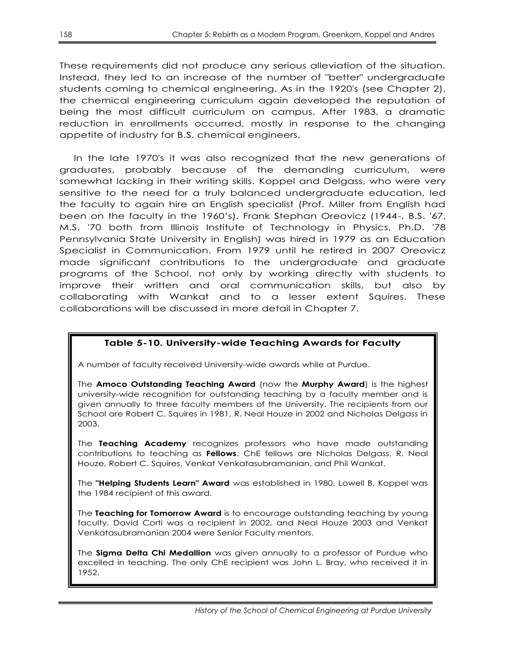These requirements did not produce any serious alleviation of the situation. Instead, they led to an increase of the number of "better" undergraduate students coming to chemical engineering. As in the 1920's (see Chapter 2), the chemical engineering curriculum again developed the reputation of being the most difficult curriculum on campus. After 1983, a dramatic reduction in enrollments occurred, mostly in response to the changing appetite of industry for B.S. chemical engineers.

In the late 1970's it was also recognized that the new generations of graduates, probably because of the demanding curriculum, were somewhat lacking in their writing skills. Koppel and Delgass, who were very sensitive to the need for a truly balanced undergraduate education, led the faculty to again hire an English specialist (Prof. Miller from English had been on the faculty in the 1960's). Frank Stephan Oreovicz (1944-, B.S. '67, M.S. '70 both from Illinois Institute of Technology in Physics, Ph.D. '78 Pennsylvania State University in English) was hired in 1979 as an Education Specialist in Communication. From 1979 until he retired in 2007 Oreovicz made significant contributions to the undergraduate and graduate programs of the School, not only by working directly with students to improve their written and oral communication skills, but also by collaborating with Wankat and to a lesser extent Squires. These collaborations will be discussed in more detail in Chapter 7.

## **Table 5-10. University-wide Teaching Awards for Faculty**

A number of faculty received University-wide awards while at Purdue.

The **Amoco Outstanding Teaching Award** (now the **Murphy Award**) is the highest university-wide recognition for outstanding teaching by a faculty member and is given annually to three faculty members of the University. The recipients from our School are Robert C. Squires in 1981, R. Neal Houze in 2002 and Nicholas Delgass in 2003.

The **Teaching Academy** recognizes professors who have made outstanding contributions to teaching as **Fellows**. ChE fellows are Nicholas Delgass, R. Neal Houze, Robert C. Squires, Venkat Venkatasubramanian, and Phil Wankat.

The **"Helping Students Learn" Award** was established in 1980. Lowell B. Koppel was the 1984 recipient of this award.

The **Teaching for Tomorrow Award** is to encourage outstanding teaching by young faculty. David Corti was a recipient in 2002, and Neal Houze 2003 and Venkat Venkatasubramanian 2004 were Senior Faculty mentors.

The **Sigma Delta Chi Medallion** was given annually to a professor of Purdue who excelled in teaching. The only ChE recipient was John L. Bray, who received it in 1952.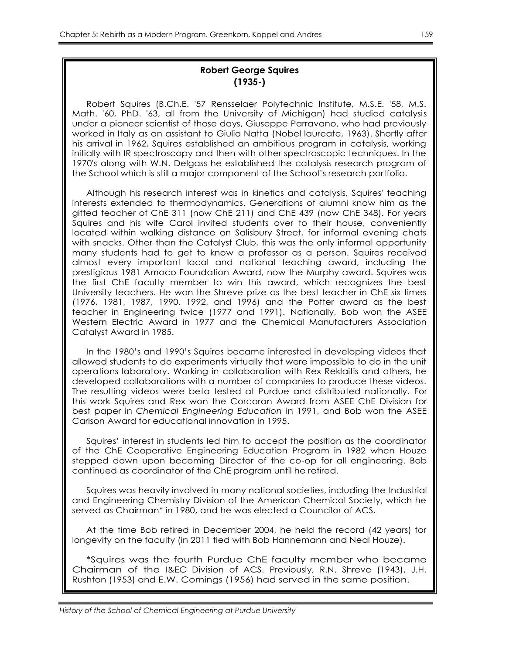## **Robert George Squires (1935-)**

Robert Squires (B.Ch.E. '57 Rensselaer Polytechnic Institute, M.S.E. '58, M.S. Math. '60, PhD. '63, all from the University of Michigan) had studied catalysis under a pioneer scientist of those days, Giuseppe Parravano, who had previously worked in Italy as an assistant to Giulio Natta (Nobel laureate, 1963). Shortly after his arrival in 1962, Squires established an ambitious program in catalysis, working initially with IR spectroscopy and then with other spectroscopic techniques. In the 1970's along with W.N. Delgass he established the catalysis research program of the School which is still a major component of the School's research portfolio.

Although his research interest was in kinetics and catalysis, Squires' teaching interests extended to thermodynamics. Generations of alumni know him as the gifted teacher of ChE 311 (now ChE 211) and ChE 439 (now ChE 348). For years Squires and his wife Carol invited students over to their house, conveniently located within walking distance on Salisbury Street, for informal evening chats with snacks. Other than the Catalyst Club, this was the only informal opportunity many students had to get to know a professor as a person. Squires received almost every important local and national teaching award, including the prestigious 1981 Amoco Foundation Award, now the Murphy award. Squires was the first ChE faculty member to win this award, which recognizes the best University teachers. He won the Shreve prize as the best teacher in ChE six times (1976, 1981, 1987, 1990, 1992, and 1996) and the Potter award as the best teacher in Engineering twice (1977 and 1991). Nationally, Bob won the ASEE Western Electric Award in 1977 and the Chemical Manufacturers Association Catalyst Award in 1985.

In the 1980's and 1990's Squires became interested in developing videos that allowed students to do experiments virtually that were impossible to do in the unit operations laboratory. Working in collaboration with Rex Reklaitis and others, he developed collaborations with a number of companies to produce these videos. The resulting videos were beta tested at Purdue and distributed nationally. For this work Squires and Rex won the Corcoran Award from ASEE ChE Division for best paper in *Chemical Engineering Education* in 1991, and Bob won the ASEE Carlson Award for educational innovation in 1995.

Squires' interest in students led him to accept the position as the coordinator of the ChE Cooperative Engineering Education Program in 1982 when Houze stepped down upon becoming Director of the co-op for all engineering. Bob continued as coordinator of the ChE program until he retired.

Squires was heavily involved in many national societies, including the Industrial and Engineering Chemistry Division of the American Chemical Society, which he served as Chairman\* in 1980, and he was elected a Councilor of ACS.

At the time Bob retired in December 2004, he held the record (42 years) for longevity on the faculty (in 2011 tied with Bob Hannemann and Neal Houze).

\*Squires was the fourth Purdue ChE faculty member who became Chairman of the I&EC Division of ACS. Previously, R.N. Shreve (1943), J.H. Rushton (1953) and E.W. Comings (1956) had served in the same position.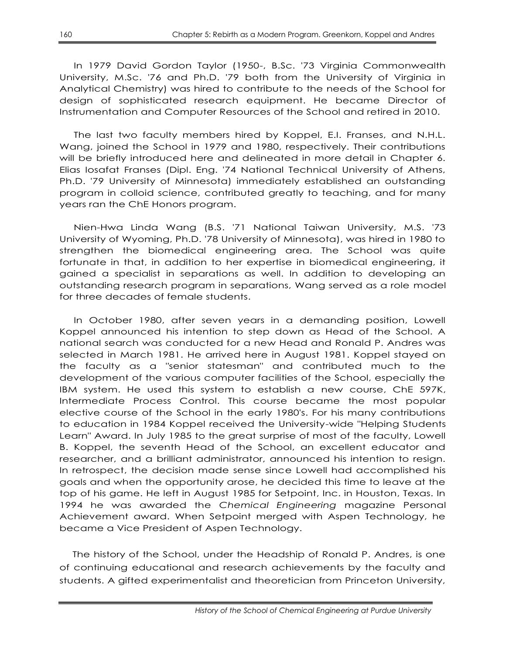In 1979 David Gordon Taylor (1950-, B.Sc. '73 Virginia Commonwealth University, M.Sc. '76 and Ph.D. '79 both from the University of Virginia in Analytical Chemistry) was hired to contribute to the needs of the School for design of sophisticated research equipment. He became Director of Instrumentation and Computer Resources of the School and retired in 2010.

The last two faculty members hired by Koppel, E.I. Franses, and N.H.L. Wang, joined the School in 1979 and 1980, respectively. Their contributions will be briefly introduced here and delineated in more detail in Chapter 6. Elias Iosafat Franses (Dipl. Eng. '74 National Technical University of Athens, Ph.D. '79 University of Minnesota) immediately established an outstanding program in colloid science, contributed greatly to teaching, and for many years ran the ChE Honors program.

Nien-Hwa Linda Wang (B.S. '71 National Taiwan University, M.S. '73 University of Wyoming, Ph.D. '78 University of Minnesota), was hired in 1980 to strengthen the biomedical engineering area. The School was quite fortunate in that, in addition to her expertise in biomedical engineering, it gained a specialist in separations as well. In addition to developing an outstanding research program in separations, Wang served as a role model for three decades of female students.

In October 1980, after seven years in a demanding position, Lowell Koppel announced his intention to step down as Head of the School. A national search was conducted for a new Head and Ronald P. Andres was selected in March 1981. He arrived here in August 1981. Koppel stayed on the faculty as a "senior statesman" and contributed much to the development of the various computer facilities of the School, especially the IBM system. He used this system to establish a new course, ChE 597K, Intermediate Process Control. This course became the most popular elective course of the School in the early 1980's. For his many contributions to education in 1984 Koppel received the University-wide "Helping Students Learn" Award. In July 1985 to the great surprise of most of the faculty, Lowell B. Koppel, the seventh Head of the School, an excellent educator and researcher, and a brilliant administrator, announced his intention to resign. In retrospect, the decision made sense since Lowell had accomplished his goals and when the opportunity arose, he decided this time to leave at the top of his game. He left in August 1985 for Setpoint, Inc. in Houston, Texas. In 1994 he was awarded the *Chemical Engineering* magazine Personal Achievement award. When Setpoint merged with Aspen Technology, he became a Vice President of Aspen Technology.

The history of the School, under the Headship of Ronald P. Andres, is one of continuing educational and research achievements by the faculty and students. A gifted experimentalist and theoretician from Princeton University,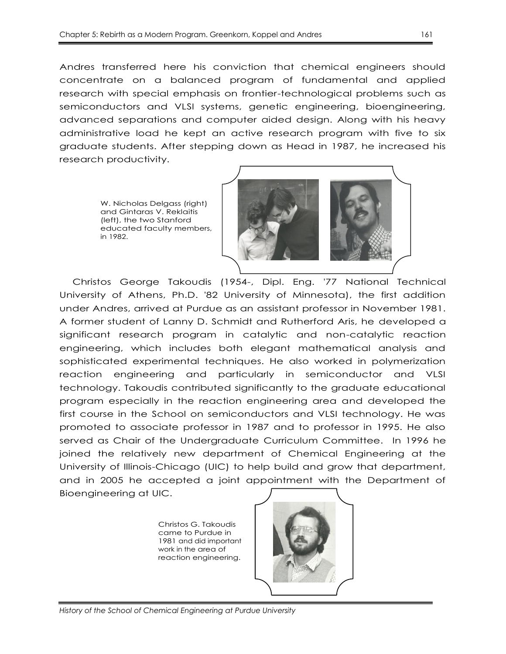Andres transferred here his conviction that chemical engineers should concentrate on a balanced program of fundamental and applied research with special emphasis on frontier-technological problems such as semiconductors and VLSI systems, genetic engineering, bioengineering, advanced separations and computer aided design. Along with his heavy administrative load he kept an active research program with five to six graduate students. After stepping down as Head in 1987, he increased his research productivity.

> W. Nicholas Delgass (right) and Gintaras V. Reklaitis (left), the two Stanford educated faculty members, in 1982.



Christos George Takoudis (1954-, Dipl. Eng. '77 National Technical University of Athens, Ph.D. '82 University of Minnesota), the first addition under Andres, arrived at Purdue as an assistant professor in November 1981. A former student of Lanny D. Schmidt and Rutherford Aris, he developed a significant research program in catalytic and non-catalytic reaction engineering, which includes both elegant mathematical analysis and sophisticated experimental techniques. He also worked in polymerization reaction engineering and particularly in semiconductor and VLSI technology. Takoudis contributed significantly to the graduate educational program especially in the reaction engineering area and developed the first course in the School on semiconductors and VLSI technology. He was promoted to associate professor in 1987 and to professor in 1995. He also served as Chair of the Undergraduate Curriculum Committee. In 1996 he joined the relatively new department of Chemical Engineering at the University of Illinois-Chicago (UIC) to help build and grow that department, and in 2005 he accepted a joint appointment with the Department of Bioengineering at UIC.

> Christos G. Takoudis came to Purdue in 1981 and did important work in the area of reaction engineering.

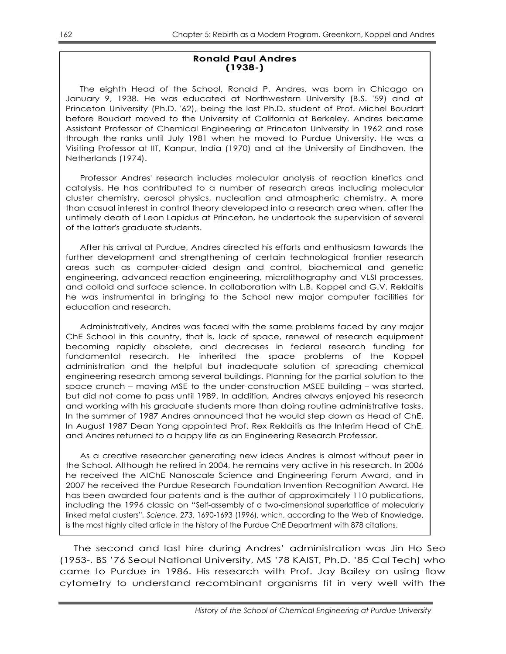#### **Ronald Paul Andres (1938-)**

The eighth Head of the School, Ronald P. Andres, was born in Chicago on January 9, 1938. He was educated at Northwestern University (B.S. '59) and at Princeton University (Ph.D. '62), being the last Ph.D. student of Prof. Michel Boudart before Boudart moved to the University of California at Berkeley. Andres became Assistant Professor of Chemical Engineering at Princeton University in 1962 and rose through the ranks until July 1981 when he moved to Purdue University. He was a Visiting Professor at IIT, Kanpur, India (1970) and at the University of Eindhoven, the Netherlands (1974).

Professor Andres' research includes molecular analysis of reaction kinetics and catalysis. He has contributed to a number of research areas including molecular cluster chemistry, aerosol physics, nucleation and atmospheric chemistry. A more than casual interest in control theory developed into a research area when, after the untimely death of Leon Lapidus at Princeton, he undertook the supervision of several of the latter's graduate students.

After his arrival at Purdue, Andres directed his efforts and enthusiasm towards the further development and strengthening of certain technological frontier research areas such as computer-aided design and control, biochemical and genetic engineering, advanced reaction engineering, microlithography and VLSI processes, and colloid and surface science. In collaboration with L.B. Koppel and G.V. Reklaitis he was instrumental in bringing to the School new major computer facilities for education and research.

Administratively, Andres was faced with the same problems faced by any major ChE School in this country, that is, lack of space, renewal of research equipment becoming rapidly obsolete, and decreases in federal research funding for fundamental research. He inherited the space problems of the Koppel administration and the helpful but inadequate solution of spreading chemical engineering research among several buildings. Planning for the partial solution to the space crunch – moving MSE to the under-construction MSEE building – was started, but did not come to pass until 1989. In addition, Andres always enjoyed his research and working with his graduate students more than doing routine administrative tasks. In the summer of 1987 Andres announced that he would step down as Head of ChE. In August 1987 Dean Yang appointed Prof. Rex Reklaitis as the Interim Head of ChE, and Andres returned to a happy life as an Engineering Research Professor.

As a creative researcher generating new ideas Andres is almost without peer in the School. Although he retired in 2004, he remains very active in his research. In 2006 he received the AIChE Nanoscale Science and Engineering Forum Award, and in 2007 he received the Purdue Research Foundation Invention Recognition Award. He has been awarded four patents and is the author of approximately 110 publications, including the 1996 classic on "Self-assembly of a two-dimensional superlattice of molecularly linked metal clusters‖, *Science, 273*, 1690-1693 (1996), which, according to the Web of Knowledge, is the most highly cited article in the history of the Purdue ChE Department with 878 citations.

The second and last hire during Andres' administration was Jin Ho Seo (1953-, BS '76 Seoul National University, MS '78 KAIST, Ph.D. '85 Cal Tech) who came to Purdue in 1986. His research with Prof. Jay Bailey on using flow cytometry to understand recombinant organisms fit in very well with the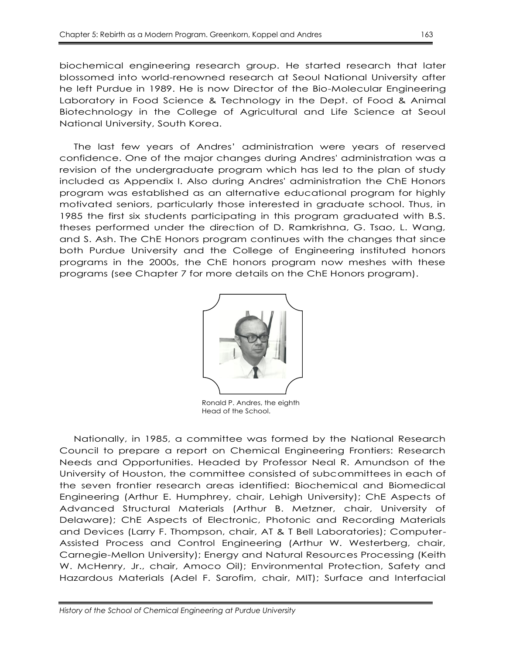biochemical engineering research group. He started research that later blossomed into world-renowned research at Seoul National University after he left Purdue in 1989. He is now Director of the Bio-Molecular Engineering Laboratory in Food Science & Technology in the Dept. of Food & Animal Biotechnology in the College of Agricultural and Life Science at Seoul National University, South Korea.

The last few years of Andres' administration were years of reserved confidence. One of the major changes during Andres' administration was a revision of the undergraduate program which has led to the plan of study included as Appendix I. Also during Andres' administration the ChE Honors program was established as an alternative educational program for highly motivated seniors, particularly those interested in graduate school. Thus, in 1985 the first six students participating in this program graduated with B.S. theses performed under the direction of D. Ramkrishna, G. Tsao, L. Wang, and S. Ash. The ChE Honors program continues with the changes that since both Purdue University and the College of Engineering instituted honors programs in the 2000s, the ChE honors program now meshes with these programs (see Chapter 7 for more details on the ChE Honors program).



Ronald P. Andres, the eighth Head of the School.

Nationally, in 1985, a committee was formed by the National Research Council to prepare a report on Chemical Engineering Frontiers: Research Needs and Opportunities. Headed by Professor Neal R. Amundson of the University of Houston, the committee consisted of subcommittees in each of the seven frontier research areas identified: Biochemical and Biomedical Engineering (Arthur E. Humphrey, chair, Lehigh University); ChE Aspects of Advanced Structural Materials (Arthur B. Metzner, chair, University of Delaware); ChE Aspects of Electronic, Photonic and Recording Materials and Devices (Larry F. Thompson, chair, AT & T Bell Laboratories); Computer-Assisted Process and Control Engineering (Arthur W. Westerberg, chair, Carnegie-Mellon University); Energy and Natural Resources Processing (Keith W. McHenry, Jr., chair, Amoco Oil); Environmental Protection, Safety and Hazardous Materials (Adel F. Sarofim, chair, MIT); Surface and Interfacial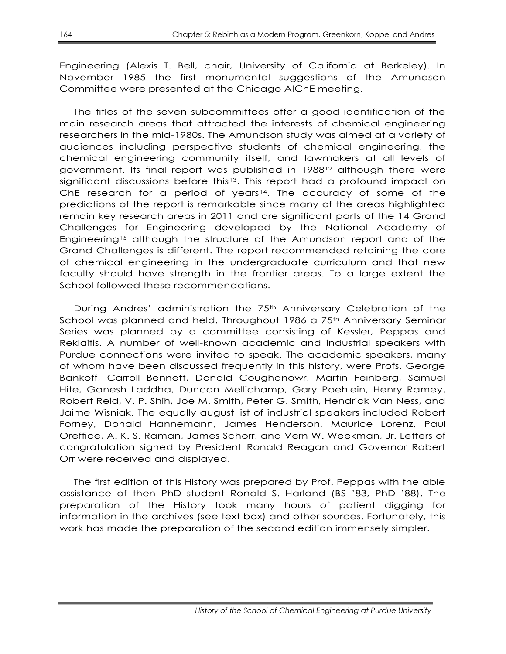Engineering (Alexis T. Bell, chair, University of California at Berkeley). In November 1985 the first monumental suggestions of the Amundson Committee were presented at the Chicago AIChE meeting.

The titles of the seven subcommittees offer a good identification of the main research areas that attracted the interests of chemical engineering researchers in the mid-1980s. The Amundson study was aimed at a variety of audiences including perspective students of chemical engineering, the chemical engineering community itself, and lawmakers at all levels of government. Its final report was published in 1988<sup>12</sup> although there were significant discussions before this<sup>13</sup>. This report had a profound impact on ChE research for a period of years<sup>14</sup>. The accuracy of some of the predictions of the report is remarkable since many of the areas highlighted remain key research areas in 2011 and are significant parts of the 14 Grand Challenges for Engineering developed by the National Academy of Engineering<sup>15</sup> although the structure of the Amundson report and of the Grand Challenges is different. The report recommended retaining the core of chemical engineering in the undergraduate curriculum and that new faculty should have strength in the frontier areas. To a large extent the School followed these recommendations.

During Andres' administration the 75<sup>th</sup> Anniversary Celebration of the School was planned and held. Throughout 1986 a 75<sup>th</sup> Anniversary Seminar Series was planned by a committee consisting of Kessler, Peppas and Reklaitis. A number of well-known academic and industrial speakers with Purdue connections were invited to speak. The academic speakers, many of whom have been discussed frequently in this history, were Profs. George Bankoff, Carroll Bennett, Donald Coughanowr, Martin Feinberg, Samuel Hite, Ganesh Laddha, Duncan Mellichamp, Gary Poehlein, Henry Ramey, Robert Reid, V. P. Shih, Joe M. Smith, Peter G. Smith, Hendrick Van Ness, and Jaime Wisniak. The equally august list of industrial speakers included Robert Forney, Donald Hannemann, James Henderson, Maurice Lorenz, Paul Oreffice, A. K. S. Raman, James Schorr, and Vern W. Weekman, Jr. Letters of congratulation signed by President Ronald Reagan and Governor Robert Orr were received and displayed.

The first edition of this History was prepared by Prof. Peppas with the able assistance of then PhD student Ronald S. Harland (BS '83, PhD '88). The preparation of the History took many hours of patient digging for information in the archives (see text box) and other sources. Fortunately, this work has made the preparation of the second edition immensely simpler.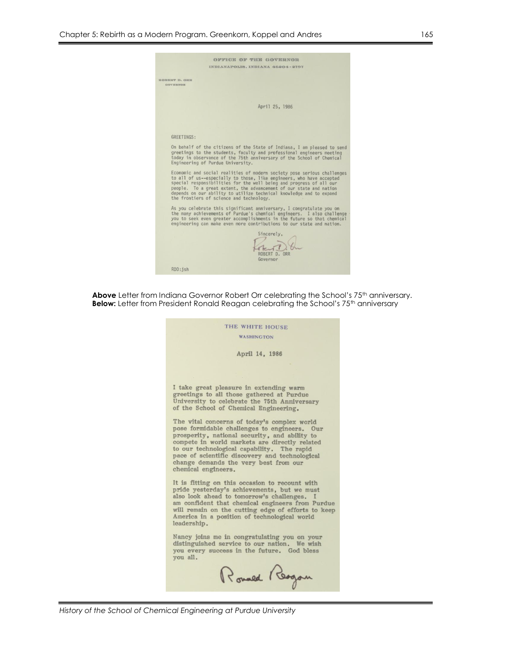|                                  | OFFICE OF THE GOVERNOR                                                                                                                                                                                                                                                                                                                                                                                          |
|----------------------------------|-----------------------------------------------------------------------------------------------------------------------------------------------------------------------------------------------------------------------------------------------------------------------------------------------------------------------------------------------------------------------------------------------------------------|
|                                  | INDIANAPOLIS, INDIANA 46204-2797                                                                                                                                                                                                                                                                                                                                                                                |
| ROBERT D. ORR<br><b>GOVERNOR</b> |                                                                                                                                                                                                                                                                                                                                                                                                                 |
|                                  | April 25, 1986                                                                                                                                                                                                                                                                                                                                                                                                  |
|                                  |                                                                                                                                                                                                                                                                                                                                                                                                                 |
| GREETINGS:                       |                                                                                                                                                                                                                                                                                                                                                                                                                 |
|                                  | On behalf of the citizens of the State of Indiana, I am pleased to send<br>greetings to the students, faculty and professional engineers meeting<br>today in observance of the 75th anniversary of the School of Chemical<br>Engineering of Purdue University.                                                                                                                                                  |
|                                  | Economic and social realities of modern society pose serious challenges<br>to all of us--especially to those, like engineers, who have accepted<br>special responsibilities for the well being and progress of all our<br>people. To a great extent, the advancement of our state and nation<br>depends on our ability to utilize technical knowledge and to expand<br>the frontiers of science and technology. |
|                                  | As you celebrate this significant anniversary, I congratulate you on<br>the many achievements of Purdue's chemical engineers. I also challenge<br>you to seek even greater accomplishments in the future so that chemical<br>engineering can make even more contributions to our state and nation.                                                                                                              |
|                                  | Sincerely,<br>ORR<br>Governor                                                                                                                                                                                                                                                                                                                                                                                   |
| RDO: ish                         |                                                                                                                                                                                                                                                                                                                                                                                                                 |

**Above** Letter from Indiana Governor Robert Orr celebrating the School's 75<sup>th</sup> anniversary. **Below:** Letter from President Ronald Reagan celebrating the School's 75<sup>th</sup> anniversary

| THE WHITE HOUSE                                                                                                                                                                                                                                                                                                                                               |
|---------------------------------------------------------------------------------------------------------------------------------------------------------------------------------------------------------------------------------------------------------------------------------------------------------------------------------------------------------------|
| <b>WASHINGTON</b>                                                                                                                                                                                                                                                                                                                                             |
| April 14, 1986                                                                                                                                                                                                                                                                                                                                                |
|                                                                                                                                                                                                                                                                                                                                                               |
| I take great pleasure in extending warm<br>greetings to all those gathered at Purdue<br>University to celebrate the 75th Anniversary<br>of the School of Chemical Engineering.                                                                                                                                                                                |
| The vital concerns of today's complex world<br>pose formidable challenges to engineers. Our<br>prosperity, national security, and ability to<br>compete in world markets are directly related<br>to our technological capability. The rapid<br>pace of scientific discovery and technological<br>change demands the very best from our<br>chemical engineers. |
| It is fitting on this occasion to recount with<br>pride yesterday's achievements, but we must<br>also look ahead to tomorrow's challenges. I<br>am confident that chemical engineers from Purdue<br>will remain on the cutting edge of efforts to keep<br>America in a position of technological world<br>leadership.                                         |
| Nancy joins me in congratulating you on your<br>distinguished service to our nation. We wish<br>you every success in the future. God bless<br>vou all.                                                                                                                                                                                                        |
| Rouald Reagan                                                                                                                                                                                                                                                                                                                                                 |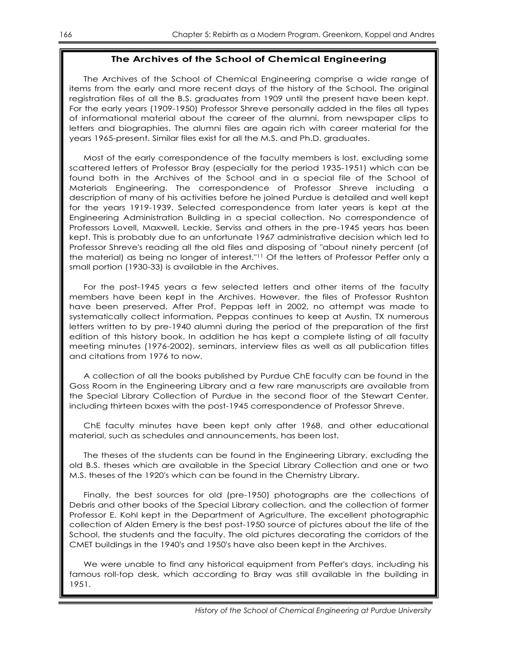#### **The Archives of the School of Chemical Engineering**

The Archives of the School of Chemical Engineering comprise a wide range of items from the early and more recent days of the history of the School. The original registration files of all the B.S. graduates from 1909 until the present have been kept. For the early years (1909-1950) Professor Shreve personally added in the files all types of informational material about the career of the alumni, from newspaper clips to letters and biographies. The alumni files are again rich with career material for the years 1965-present. Similar files exist for all the M.S. and Ph.D. graduates.

Most of the early correspondence of the faculty members is lost, excluding some scattered letters of Professor Bray (especially for the period 1935-1951) which can be found both in the Archives of the School and in a special file of the School of Materials Engineering. The correspondence of Professor Shreve including a description of many of his activities before he joined Purdue is detailed and well kept for the years 1919-1939. Selected correspondence from later years is kept at the Engineering Administration Building in a special collection. No correspondence of Professors Lovell, Maxwell, Leckie, Serviss and others in the pre-1945 years has been kept. This is probably due to an unfortunate 1967 administrative decision which led to Professor Shreve's reading all the old files and disposing of "about ninety percent (of the material) as being no longer of interest."<sup>11</sup> Of the letters of Professor Peffer only a small portion (1930-33) is available in the Archives.

For the post-1945 years a few selected letters and other items of the faculty members have been kept in the Archives. However, the files of Professor Rushton have been preserved. After Prof. Peppas left in 2002, no attempt was made to systematically collect information. Peppas continues to keep at Austin, TX numerous letters written to by pre-1940 alumni during the period of the preparation of the first edition of this history book. In addition he has kept a complete listing of all faculty meeting minutes (1976-2002), seminars, interview files as well as all publication titles and citations from 1976 to now.

A collection of all the books published by Purdue ChE faculty can be found in the Goss Room in the Engineering Library and a few rare manuscripts are available from the Special Library Collection of Purdue in the second floor of the Stewart Center, including thirteen boxes with the post-1945 correspondence of Professor Shreve.

ChE faculty minutes have been kept only after 1968, and other educational material, such as schedules and announcements, has been lost.

The theses of the students can be found in the Engineering Library, excluding the old B.S. theses which are available in the Special Library Collection and one or two M.S. theses of the 1920's which can be found in the Chemistry Library.

Finally, the best sources for old (pre-1950) photographs are the collections of Debris and other books of the Special Library collection, and the collection of former Professor E. Kohl kept in the Department of Agriculture. The excellent photographic collection of Alden Emery is the best post-1950 source of pictures about the life of the School, the students and the faculty. The old pictures decorating the corridors of the CMET buildings in the 1940's and 1950's have also been kept in the Archives.

We were unable to find any historical equipment from Peffer's days, including his famous roll-top desk, which according to Bray was still available in the building in 1951.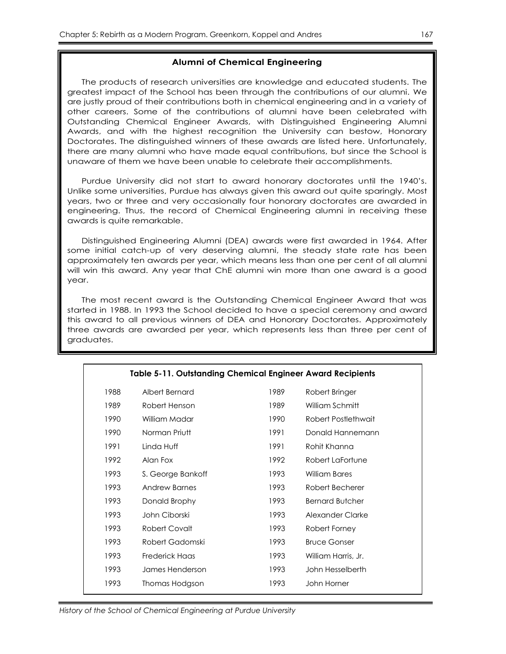#### **Alumni of Chemical Engineering**

The products of research universities are knowledge and educated students. The greatest impact of the School has been through the contributions of our alumni. We are justly proud of their contributions both in chemical engineering and in a variety of other careers. Some of the contributions of alumni have been celebrated with Outstanding Chemical Engineer Awards, with Distinguished Engineering Alumni Awards, and with the highest recognition the University can bestow, Honorary Doctorates. The distinguished winners of these awards are listed here. Unfortunately, there are many alumni who have made equal contributions, but since the School is unaware of them we have been unable to celebrate their accomplishments.

Purdue University did not start to award honorary doctorates until the 1940's. Unlike some universities, Purdue has always given this award out quite sparingly. Most years, two or three and very occasionally four honorary doctorates are awarded in engineering. Thus, the record of Chemical Engineering alumni in receiving these awards is quite remarkable.

Distinguished Engineering Alumni (DEA) awards were first awarded in 1964. After some initial catch-up of very deserving alumni, the steady state rate has been approximately ten awards per year, which means less than one per cent of all alumni will win this award. Any year that ChE alumni win more than one award is a good year.

The most recent award is the Outstanding Chemical Engineer Award that was started in 1988. In 1993 the School decided to have a special ceremony and award this award to all previous winners of DEA and Honorary Doctorates. Approximately three awards are awarded per year, which represents less than three per cent of graduates.

| <b>Table 5-11. Outstanding Chemical Engineer Award Recipients</b> |                   |      |                        |  |
|-------------------------------------------------------------------|-------------------|------|------------------------|--|
| 1988                                                              | Albert Bernard    | 1989 | Robert Bringer         |  |
| 1989                                                              | Robert Henson     | 1989 | William Schmitt        |  |
| 1990                                                              | William Madar     | 1990 | Robert Postlethwait    |  |
| 1990                                                              | Norman Priutt     | 1991 | Donald Hannemann       |  |
| 1991                                                              | Linda Huff        | 1991 | Rohit Khanna           |  |
| 1992                                                              | Alan Fox          | 1992 | Robert LaFortune       |  |
| 1993                                                              | S. George Bankoff | 1993 | William Bares          |  |
| 1993                                                              | Andrew Barnes     | 1993 | Robert Becherer        |  |
| 1993                                                              | Donald Brophy     | 1993 | <b>Bernard Butcher</b> |  |
| 1993                                                              | John Ciborski     | 1993 | Alexander Clarke       |  |
| 1993                                                              | Robert Covalt     | 1993 | Robert Forney          |  |
| 1993                                                              | Robert Gadomski   | 1993 | <b>Bruce Gonser</b>    |  |
| 1993                                                              | Frederick Haas    | 1993 | William Harris, Jr.    |  |
| 1993                                                              | James Henderson   | 1993 | John Hesselberth       |  |
| 1993                                                              | Thomas Hodgson    | 1993 | John Horner            |  |
|                                                                   |                   |      |                        |  |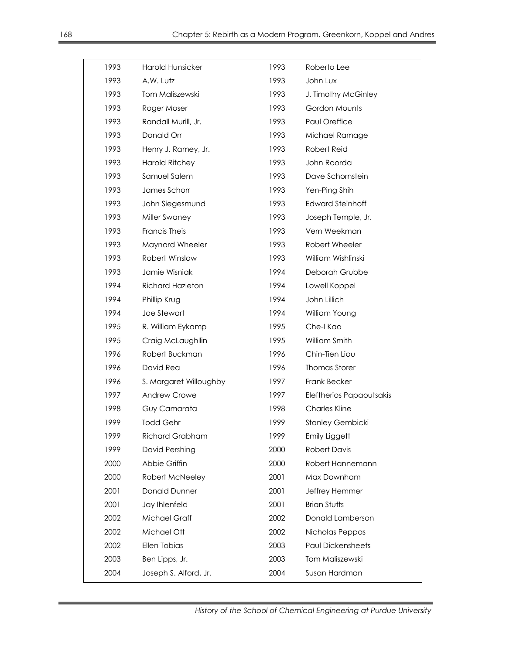| 1993 | <b>Harold Hunsicker</b> | 1993 | Roberto Lee              |
|------|-------------------------|------|--------------------------|
| 1993 | A.W. Lutz               | 1993 | John Lux                 |
| 1993 | Tom Maliszewski         | 1993 | J. Timothy McGinley      |
| 1993 | Roger Moser             | 1993 | Gordon Mounts            |
| 1993 | Randall Murill, Jr.     | 1993 | Paul Oreffice            |
| 1993 | Donald Orr              | 1993 | Michael Ramage           |
| 1993 | Henry J. Ramey, Jr.     | 1993 | Robert Reid              |
| 1993 | Harold Ritchey          | 1993 | John Roorda              |
| 1993 | Samuel Salem            | 1993 | Dave Schornstein         |
| 1993 | James Schorr            | 1993 | Yen-Ping Shih            |
| 1993 | John Siegesmund         | 1993 | <b>Edward Steinhoff</b>  |
| 1993 | Miller Swaney           | 1993 | Joseph Temple, Jr.       |
| 1993 | <b>Francis Theis</b>    | 1993 | Vern Weekman             |
| 1993 | Maynard Wheeler         | 1993 | Robert Wheeler           |
| 1993 | Robert Winslow          | 1993 | William Wishlinski       |
| 1993 | Jamie Wisniak           | 1994 | Deborah Grubbe           |
| 1994 | <b>Richard Hazleton</b> | 1994 | Lowell Koppel            |
| 1994 | Phillip Krug            | 1994 | John Lillich             |
| 1994 | Joe Stewart             | 1994 | William Young            |
| 1995 | R. William Eykamp       | 1995 | Che-I Kao                |
| 1995 | Craig McLaughllin       | 1995 | William Smith            |
| 1996 | Robert Buckman          | 1996 | Chin-Tien Liou           |
| 1996 | David Rea               | 1996 | <b>Thomas Storer</b>     |
| 1996 | S. Margaret Willoughby  | 1997 | Frank Becker             |
| 1997 | Andrew Crowe            | 1997 | Eleftherios Papaoutsakis |
| 1998 | Guy Camarata            | 1998 | <b>Charles Kline</b>     |
| 1999 | <b>Todd Gehr</b>        | 1999 | Stanley Gembicki         |
| 1999 | <b>Richard Grabham</b>  | 1999 | <b>Emily Liggett</b>     |
| 1999 | David Pershing          | 2000 | <b>Robert Davis</b>      |
| 2000 | Abbie Griffin           | 2000 | Robert Hannemann         |
| 2000 | Robert McNeeley         | 2001 | Max Downham              |
| 2001 | <b>Donald Dunner</b>    | 2001 | Jeffrey Hemmer           |
| 2001 | Jay Ihlenfeld           | 2001 | <b>Brian Stutts</b>      |
| 2002 | <b>Michael Graff</b>    | 2002 | Donald Lamberson         |
| 2002 | Michael Ott             | 2002 | Nicholas Peppas          |
| 2002 | Ellen Tobias            | 2003 | <b>Paul Dickensheets</b> |
| 2003 | Ben Lipps, Jr.          | 2003 | Tom Maliszewski          |
| 2004 | Joseph S. Alford, Jr.   | 2004 | Susan Hardman            |

Charles Davidson 2005 Robert Weist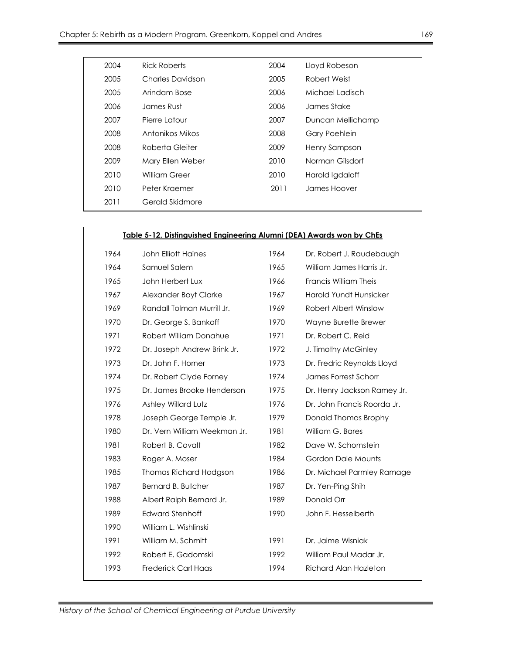| 2004 | Rick Roberts     | 2004 | Lloyd Robeson        |
|------|------------------|------|----------------------|
| 2005 | Charles Davidson | 2005 | Robert Weist         |
| 2005 | Arindam Bose     | 2006 | Michael Ladisch      |
| 2006 | James Rust       | 2006 | James Stake          |
| 2007 | Pierre I atour   | 2007 | Duncan Mellichamp    |
| 2008 | Antonikos Mikos  | 2008 | <b>Gary Poehlein</b> |
| 2008 | Roberta Gleiter  | 2009 | Henry Sampson        |
| 2009 | Mary Ellen Weber | 2010 | Norman Gilsdorf      |
| 2010 | William Greer    | 2010 | Harold Igdaloff      |
| 2010 | Peter Kraemer    | 2011 | James Hoover         |
| 2011 | Gerald Skidmore  |      |                      |
|      |                  |      |                      |

## **Table 5-12. Distinguished Engineering Alumni (DEA) Awards won by ChEs**

| 1964 | <b>John Elliott Haines</b>   | 1964 | Dr. Robert J. Raudebaugh      |
|------|------------------------------|------|-------------------------------|
| 1964 | Samuel Salem                 | 1965 | William James Harris Jr.      |
| 1965 | John Herbert Lux             | 1966 | Francis William Theis         |
| 1967 | Alexander Boyt Clarke        | 1967 | <b>Harold Yundt Hunsicker</b> |
| 1969 | Randall Tolman Murrill Jr.   | 1969 | Robert Albert Winslow         |
| 1970 | Dr. George S. Bankoff        | 1970 | Wayne Burette Brewer          |
| 1971 | Robert William Donahue       | 1971 | Dr. Robert C. Reid            |
| 1972 | Dr. Joseph Andrew Brink Jr.  | 1972 | J. Timothy McGinley           |
| 1973 | Dr. John F. Horner           | 1973 | Dr. Fredric Reynolds Lloyd    |
| 1974 | Dr. Robert Clyde Forney      | 1974 | James Forrest Schorr          |
| 1975 | Dr. James Brooke Henderson   | 1975 | Dr. Henry Jackson Ramey Jr.   |
| 1976 | Ashley Willard Lutz          | 1976 | Dr. John Francis Roorda Jr.   |
| 1978 | Joseph George Temple Jr.     | 1979 | Donald Thomas Brophy          |
| 1980 | Dr. Vern William Weekman Jr. | 1981 | William G. Bares              |
| 1981 | Robert B. Covalt             | 1982 | Dave W. Schornstein           |
| 1983 | Roger A. Moser               | 1984 | Gordon Dale Mounts            |
| 1985 | Thomas Richard Hodgson       | 1986 | Dr. Michael Parmley Ramage    |
| 1987 | Bernard B. Butcher           | 1987 | Dr. Yen-Ping Shih             |
| 1988 | Albert Ralph Bernard Jr.     | 1989 | Donald Orr                    |
| 1989 | <b>Edward Stenhoff</b>       | 1990 | John F. Hesselberth           |
| 1990 | William L. Wishlinski        |      |                               |
| 1991 | William M. Schmitt           | 1991 | Dr. Jaime Wisniak             |
| 1992 | Robert E. Gadomski           | 1992 | William Paul Madar Jr.        |
| 1993 | <b>Frederick Carl Haas</b>   | 1994 | <b>Richard Alan Hazleton</b>  |
|      |                              |      |                               |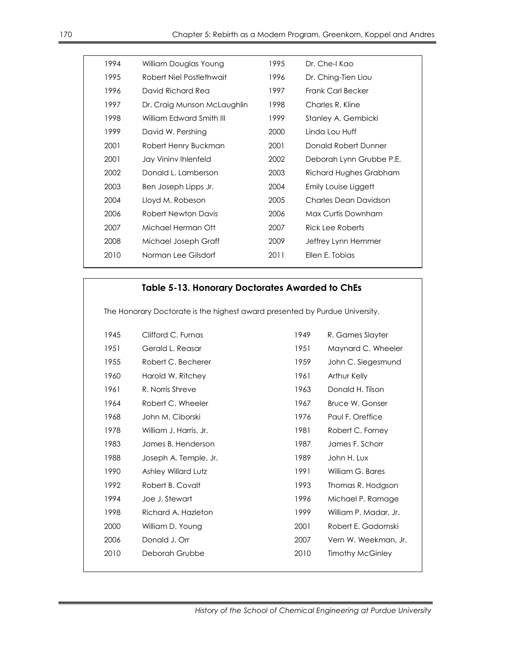| 1994 | William Douglas Young       | 1995 | Dr. Che-I Kao            |
|------|-----------------------------|------|--------------------------|
| 1995 | Robert Niel Postlethwait    | 1996 | Dr. Ching-Tien Liou      |
| 1996 | David Richard Rea           | 1997 | <b>Frank Carl Becker</b> |
| 1997 | Dr. Craig Munson McLaughlin | 1998 | Charles R. Kline         |
| 1998 | William Edward Smith III    | 1999 | Stanley A. Gembicki      |
| 1999 | David W. Pershing           | 2000 | Linda Lou Huff           |
| 2001 | Robert Henry Buckman        | 2001 | Donald Robert Dunner     |
| 2001 | Jay Vininy Ihlenfeld        | 2002 | Deborah Lynn Grubbe P.E. |
| 2002 | Donald L. Lamberson         | 2003 | Richard Hughes Grabham   |
| 2003 | Ben Joseph Lipps Jr.        | 2004 | Emily Louise Liggett     |
| 2004 | Lloyd M. Robeson            | 2005 | Charles Dean Davidson    |
| 2006 | <b>Robert Newton Davis</b>  | 2006 | Max Curtis Downham       |
| 2007 | Michael Herman Ott          | 2007 | Rick Lee Roberts         |
| 2008 | Michael Joseph Graff        | 2009 | Jeffrey Lynn Hemmer      |
| 2010 | Norman Lee Gilsdorf         | 2011 | Ellen E. Tobias          |
|      |                             |      |                          |

## **Table 5-13. Honorary Doctorates Awarded to ChEs**

The Honorary Doctorate is the highest award presented by Purdue University.

| 1945 | Clifford C. Furnas     | 1949 | R. Games Slayter        |
|------|------------------------|------|-------------------------|
| 1951 | Gerald L. Reasar       | 1951 | Maynard C. Wheeler      |
| 1955 | Robert C. Becherer     | 1959 | John C. Siegesmund      |
| 1960 | Harold W. Ritchey      | 1961 | Arthur Kelly            |
| 1961 | R. Norris Shreve       | 1963 | Donald H. Tilson        |
| 1964 | Robert C. Wheeler      | 1967 | Bruce W. Gonser         |
| 1968 | John M. Ciborski       | 1976 | Paul F. Oreffice        |
| 1978 | William J. Harris, Jr. | 1981 | Robert C. Forney        |
| 1983 | James B. Henderson     | 1987 | James F. Schorr         |
| 1988 | Joseph A. Temple, Jr.  | 1989 | John H. Lux             |
| 1990 | Ashley Willard Lutz    | 1991 | William G. Bares        |
| 1992 | Robert B. Covalt       | 1993 | Thomas R. Hodgson       |
| 1994 | Joe J. Stewart         | 1996 | Michael P. Ramage       |
| 1998 | Richard A. Hazleton    | 1999 | William P. Madar, Jr.   |
| 2000 | William D. Young       | 2001 | Robert E. Gadomski      |
| 2006 | Donald J. Orr          | 2007 | Vern W. Weekman, Jr.    |
| 2010 | Deborah Grubbe         | 2010 | <b>Timothy McGinley</b> |
|      |                        |      |                         |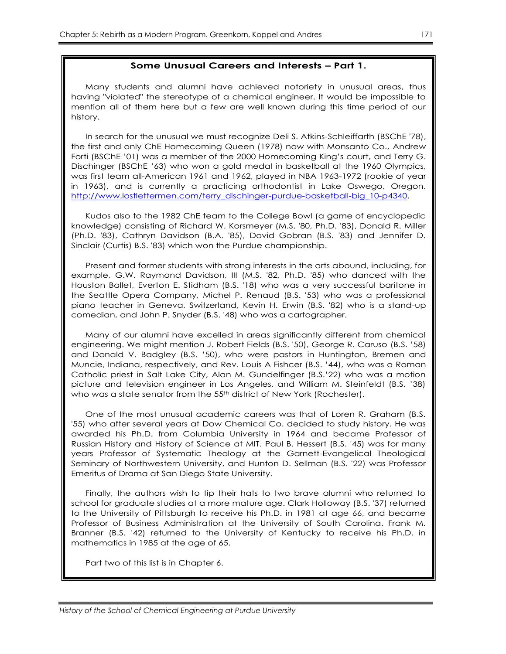#### **Some Unusual Careers and Interests – Part 1.**

Many students and alumni have achieved notoriety in unusual areas, thus having "violated" the stereotype of a chemical engineer. It would be impossible to mention all of them here but a few are well known during this time period of our history.

In search for the unusual we must recognize Deli S. Atkins-Schleiffarth (BSChE '78), the first and only ChE Homecoming Queen (1978) now with Monsanto Co., Andrew Forti (BSChE '01) was a member of the 2000 Homecoming King's court, and Terry G. Dischinger (BSChE '63) who won a gold medal in basketball at the 1960 Olympics, was first team all-American 1961 and 1962, played in NBA 1963-1972 (rookie of year in 1963), and is currently a practicing orthodontist in Lake Oswego, Oregon. [http://www.lostlettermen.com/terry\\_dischinger-purdue-basketball-big\\_10-p4340.](http://www.lostlettermen.com/terry_dischinger-purdue-basketball-big_10-p4340)

Kudos also to the 1982 ChE team to the College Bowl (a game of encyclopedic knowledge) consisting of Richard W. Korsmeyer (M.S. '80, Ph.D. '83), Donald R. Miller (Ph.D. '83), Cathryn Davidson (B.A. '85), David Gobran (B.S. '83) and Jennifer D. Sinclair (Curtis) B.S. '83) which won the Purdue championship.

Present and former students with strong interests in the arts abound, including, for example, G.W. Raymond Davidson, III (M.S. '82, Ph.D. '85) who danced with the Houston Ballet, Everton E. Stidham (B.S. '18) who was a very successful baritone in the Seattle Opera Company, Michel P. Renaud (B.S. '53) who was a professional piano teacher in Geneva, Switzerland, Kevin H. Erwin (B.S. '82) who is a stand-up comedian, and John P. Snyder (B.S. '48) who was a cartographer.

Many of our alumni have excelled in areas significantly different from chemical engineering. We might mention J. Robert Fields (B.S. '50), George R. Caruso (B.S. '58) and Donald V. Badgley (B.S. '50), who were pastors in Huntington, Bremen and Muncie, Indiana, respectively, and Rev. Louis A Fishcer (B.S. '44), who was a Roman Catholic priest in Salt Lake City, Alan M. Gundelfinger (B.S.'22) who was a motion picture and television engineer in Los Angeles, and William M. Steinfeldt (B.S. '38) who was a state senator from the 55<sup>th</sup> district of New York (Rochester).

One of the most unusual academic careers was that of Loren R. Graham (B.S. '55) who after several years at Dow Chemical Co. decided to study history. He was awarded his Ph.D. from Columbia University in 1964 and became Professor of Russian History and History of Science at MIT. Paul B. Hessert (B.S. '45) was for many years Professor of Systematic Theology at the Garnett-Evangelical Theological Seminary of Northwestern University, and Hunton D. Sellman (B.S. '22) was Professor Emeritus of Drama at San Diego State University.

Finally, the authors wish to tip their hats to two brave alumni who returned to school for graduate studies at a more mature age. Clark Holloway (B.S. '37) returned to the University of Pittsburgh to receive his Ph.D. in 1981 at age 66, and became Professor of Business Administration at the University of South Carolina. Frank M. Branner (B.S. '42) returned to the University of Kentucky to receive his Ph.D. in mathematics in 1985 at the age of 65.

Part two of this list is in Chapter 6.